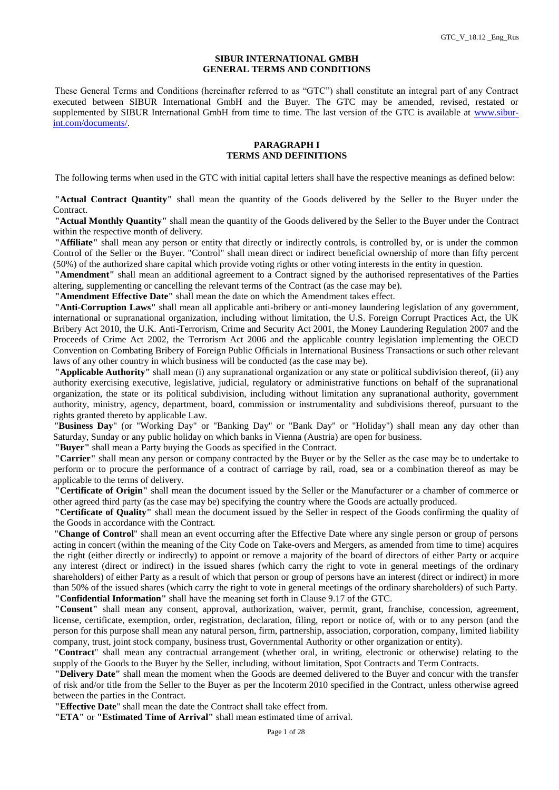#### **SIBUR INTERNATIONAL GMBH GENERAL TERMS AND CONDITIONS**

These General Terms and Conditions (hereinafter referred to as "GTC") shall constitute an integral part of any Contract executed between SIBUR International GmbH and the Buyer. The GTC may be amended, revised, restated or supplemented by SIBUR International GmbH from time to time. The last version of the GTC is available at [www.sibur](http://www.sibur-int.com/documents/)[int.com/documents/.](http://www.sibur-int.com/documents/)

### **PARAGRAPH I TERMS AND DEFINITIONS**

The following terms when used in the GTC with initial capital letters shall have the respective meanings as defined below:

**"Actual Contract Quantity"** shall mean the quantity of the Goods delivered by the Seller to the Buyer under the Contract.

**"Actual Monthly Quantity"** shall mean the quantity of the Goods delivered by the Seller to the Buyer under the Contract within the respective month of delivery.

**"Affiliate"** shall mean any person or entity that directly or indirectly controls, is controlled by, or is under the common Control of the Seller or the Buyer. "Control" shall mean direct or indirect beneficial ownership of more than fifty percent (50%) of the authorized share capital which provide voting rights or other voting interests in the entity in question.

**"Amendment"** shall mean an additional agreement to a Contract signed by the authorised representatives of the Parties altering, supplementing or cancelling the relevant terms of the Contract (as the case may be).

**"Amendment Effective Date"** shall mean the date on which the Amendment takes effect.

**"Anti-Corruption Laws"** shall mean all applicable anti-bribery or anti-money laundering legislation of any government, international or supranational organization, including without limitation, the U.S. Foreign Corrupt Practices Act, the UK Bribery Act 2010, the U.K. Anti-Terrorism, Crime and Security Act 2001, the Money Laundering Regulation 2007 and the Proceeds of Crime Act 2002, the Terrorism Act 2006 and the applicable country legislation implementing the OECD Convention on Combating Bribery of Foreign Public Officials in International Business Transactions or such other relevant laws of any other country in which business will be conducted (as the case may be).

**"Applicable Authority"** shall mean (i) any supranational organization or any state or political subdivision thereof, (ii) any authority exercising executive, legislative, judicial, regulatory or administrative functions on behalf of the supranational organization, the state or its political subdivision, including without limitation any supranational authority, government authority, ministry, agency, department, board, commission or instrumentality and subdivisions thereof, pursuant to the rights granted thereto by applicable Law.

"**Business Day**" (or "Working Day" or "Banking Day" or "Bank Day" or "Holiday") shall mean any day other than Saturday, Sunday or any public holiday on which banks in Vienna (Austria) are open for business.

**"Buyer"** shall mean a Party buying the Goods as specified in the Contract.

**"Carrier"** shall mean any person or company contracted by the Buyer or by the Seller as the case may be to undertake to perform or to procure the performance of a contract of carriage by rail, road, sea or a combination thereof as may be applicable to the terms of delivery.

**"Certificate of Origin"** shall mean the document issued by the Seller or the Manufacturer or a chamber of commerce or other agreed third party (as the case may be) specifying the country where the Goods are actually produced.

**"Certificate of Quality"** shall mean the document issued by the Seller in respect of the Goods confirming the quality of the Goods in accordance with the Contract.

"**Change of Control**" shall mean an event occurring after the Effective Date where any single person or group of persons acting in concert (within the meaning of the City Code on Take-overs and Mergers, as amended from time to time) acquires the right (either directly or indirectly) to appoint or remove a majority of the board of directors of either Party or acquire any interest (direct or indirect) in the issued shares (which carry the right to vote in general meetings of the ordinary shareholders) of either Party as a result of which that person or group of persons have an interest (direct or indirect) in more than 50% of the issued shares (which carry the right to vote in general meetings of the ordinary shareholders) of such Party. **"Confidential Information"** shall have the meaning set forth in Clause 9.17 of the GTC.

**"Consent"** shall mean any consent, approval, authorization, waiver, permit, grant, franchise, concession, agreement, license, certificate, exemption, order, registration, declaration, filing, report or notice of, with or to any person (and the person for this purpose shall mean any natural person, firm, partnership, association, corporation, company, limited liability company, trust, joint stock company, business trust, Governmental Authority or other organization or entity).

"**Contract**" shall mean any contractual arrangement (whether oral, in writing, electronic or otherwise) relating to the supply of the Goods to the Buyer by the Seller, including, without limitation, Spot Contracts and Term Contracts.

**"Delivery Date"** shall mean the moment when the Goods are deemed delivered to the Buyer and concur with the transfer of risk and/or title from the Seller to the Buyer as per the Incoterm 2010 specified in the Contract, unless otherwise agreed between the parties in the Contract.

**"Effective Date**" shall mean the date the Contract shall take effect from.

**"ETA"** or **"Estimated Time of Arrival"** shall mean estimated time of arrival.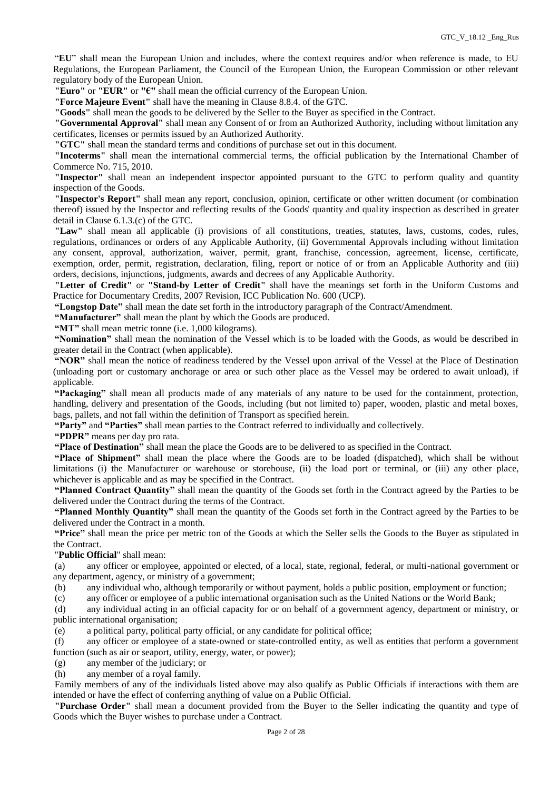"**EU**" shall mean the European Union and includes, where the context requires and/or when reference is made, to EU Regulations, the European Parliament, the Council of the European Union, the European Commission or other relevant regulatory body of the European Union.

**"Euro"** or **"EUR"** or **"€"** shall mean the official currency of the European Union.

**"Force Majeure Event"** shall have the meaning in Clause 8.8.4. of the GTC.

**"Goods"** shall mean the goods to be delivered by the Seller to the Buyer as specified in the Contract.

**"Governmental Approval"** shall mean any Consent of or from an Authorized Authority, including without limitation any certificates, licenses or permits issued by an Authorized Authority.

**"GTC"** shall mean the standard terms and conditions of purchase set out in this document.

**"Incoterms"** shall mean the international commercial terms, the official publication by the International Chamber of Commerce No. 715, 2010.

**"Inspector"** shall mean an independent inspector appointed pursuant to the GTC to perform quality and quantity inspection of the Goods.

**"Inspector's Report"** shall mean any report, conclusion, opinion, certificate or other written document (or combination thereof) issued by the Inspector and reflecting results of the Goods' quantity and quality inspection as described in greater detail in Clause 6.1.3.(c) of the GTC.

**"Law"** shall mean all applicable (i) provisions of all constitutions, treaties, statutes, laws, customs, codes, rules, regulations, ordinances or orders of any Applicable Authority, (ii) Governmental Approvals including without limitation any consent, approval, authorization, waiver, permit, grant, franchise, concession, agreement, license, certificate, exemption, order, permit, registration, declaration, filing, report or notice of or from an Applicable Authority and (iii) orders, decisions, injunctions, judgments, awards and decrees of any Applicable Authority.

**"Letter of Credit"** or **"Stand-by Letter of Credit"** shall have the meanings set forth in the Uniform Customs and Practice for Documentary Credits, 2007 Revision, ICC Publication No. 600 (UCP).

**"Longstop Date"** shall mean the date set forth in the introductory paragraph of the Contract/Amendment.

**"Manufacturer"** shall mean the plant by which the Goods are produced.

**"MT"** shall mean metric tonne (i.e. 1,000 kilograms).

**"Nomination"** shall mean the nomination of the Vessel which is to be loaded with the Goods, as would be described in greater detail in the Contract (when applicable).

**"NOR"** shall mean the notice of readiness tendered by the Vessel upon arrival of the Vessel at the Place of Destination (unloading port or customary anchorage or area or such other place as the Vessel may be ordered to await unload), if applicable.

**"Packaging"** shall mean all products made of any materials of any nature to be used for the containment, protection, handling, delivery and presentation of the Goods, including (but not limited to) paper, wooden, plastic and metal boxes, bags, pallets, and not fall within the definition of Transport as specified herein.

**"Party"** and **"Parties"** shall mean parties to the Contract referred to individually and collectively.

**"PDPR"** means per day pro rata.

**"Place of Destination"** shall mean the place the Goods are to be delivered to as specified in the Contract.

**"Place of Shipment"** shall mean the place where the Goods are to be loaded (dispatched), which shall be without limitations (i) the Manufacturer or warehouse or storehouse, (ii) the load port or terminal, or (iii) any other place, whichever is applicable and as may be specified in the Contract.

**"Planned Contract Quantity"** shall mean the quantity of the Goods set forth in the Contract agreed by the Parties to be delivered under the Contract during the terms of the Contract.

**"Planned Monthly Quantity"** shall mean the quantity of the Goods set forth in the Contract agreed by the Parties to be delivered under the Contract in a month.

**"Price"** shall mean the price per metric ton of the Goods at which the Seller sells the Goods to the Buyer as stipulated in the Contract.

"**Public Official**" shall mean:

(a) any officer or employee, appointed or elected, of a local, state, regional, federal, or multi-national government or any department, agency, or ministry of a government;

(b) any individual who, although temporarily or without payment, holds a public position, employment or function;

(c) any officer or employee of a public international organisation such as the United Nations or the World Bank;

(d) any individual acting in an official capacity for or on behalf of a government agency, department or ministry, or public international organisation;

(e) a political party, political party official, or any candidate for political office;

(f) any officer or employee of a state-owned or state-controlled entity, as well as entities that perform a government function (such as air or seaport, utility, energy, water, or power);

(g) any member of the judiciary; or

(h) any member of a royal family.

Family members of any of the individuals listed above may also qualify as Public Officials if interactions with them are intended or have the effect of conferring anything of value on a Public Official.

**"Purchase Order"** shall mean a document provided from the Buyer to the Seller indicating the quantity and type of Goods which the Buyer wishes to purchase under a Contract.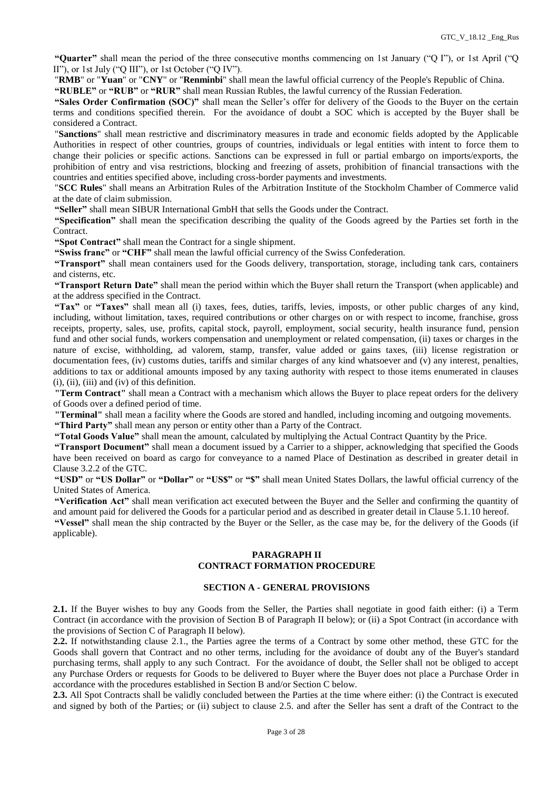**"Quarter"** shall mean the period of the three consecutive months commencing on 1st January ("Q I"), or 1st April ("Q II"), or 1st July ("Q III"), or 1st October ("Q IV").

"**RMB**" or "**Yuan**" or "**CNY**" or "**Renminbi**" shall mean the lawful official currency of the People's Republic of China.

**"RUBLE"** or **"RUB"** or **"RUR"** shall mean Russian Rubles, the lawful currency of the Russian Federation.

**"Sales Order Confirmation (SOC)"** shall mean the Seller's offer for delivery of the Goods to the Buyer on the certain terms and conditions specified therein. For the avoidance of doubt a SOC which is accepted by the Buyer shall be considered a Contract.

"**Sanctions**" shall mean restrictive and discriminatory measures in trade and economic fields adopted by the Applicable Authorities in respect of other countries, groups of countries, individuals or legal entities with intent to force them to change their policies or specific actions. Sanctions can be expressed in full or partial embargo on imports/exports, the prohibition of entry and visa restrictions, blocking and freezing of assets, prohibition of financial transactions with the countries and entities specified above, including cross-border payments and investments.

"**SCC Rules**" shall means an Arbitration Rules of the Arbitration Institute of the Stockholm Chamber of Commerce valid at the date of claim submission.

**"Seller"** shall mean SIBUR International GmbH that sells the Goods under the Contract.

**"Specification"** shall mean the specification describing the quality of the Goods agreed by the Parties set forth in the Contract.

**"Spot Contract"** shall mean the Contract for a single shipment.

**"Swiss franc"** or **"CHF"** shall mean the lawful official currency of the Swiss Confederation.

**"Transport"** shall mean containers used for the Goods delivery, transportation, storage, including tank cars, containers and cisterns, etc.

**"Transport Return Date"** shall mean the period within which the Buyer shall return the Transport (when applicable) and at the address specified in the Contract.

**"Tax"** or **"Taxes"** shall mean all (i) taxes, fees, duties, tariffs, levies, imposts, or other public charges of any kind, including, without limitation, taxes, required contributions or other charges on or with respect to income, franchise, gross receipts, property, sales, use, profits, capital stock, payroll, employment, social security, health insurance fund, pension fund and other social funds, workers compensation and unemployment or related compensation, (ii) taxes or charges in the nature of excise, withholding, ad valorem, stamp, transfer, value added or gains taxes, (iii) license registration or documentation fees, (iv) customs duties, tariffs and similar charges of any kind whatsoever and (v) any interest, penalties, additions to tax or additional amounts imposed by any taxing authority with respect to those items enumerated in clauses (i), (ii), (iii) and (iv) of this definition.

**"Term Contract"** shall mean a Contract with a mechanism which allows the Buyer to place repeat orders for the delivery of Goods over a defined period of time.

**"Terminal"** shall mean a facility where the Goods are stored and handled, including incoming and outgoing movements.

**"Third Party"** shall mean any person or entity other than a Party of the Contract.

**"Total Goods Value"** shall mean the amount, calculated by multiplying the Actual Contract Quantity by the Price.

**"Transport Document"** shall mean a document issued by a Carrier to a shipper, acknowledging that specified the Goods have been received on board as cargo for conveyance to a named Place of Destination as described in greater detail in Clause 3.2.2 of the GTC.

**"USD"** or **"US Dollar"** or **"Dollar"** or **"US\$"** or **"\$"** shall mean United States Dollars, the lawful official currency of the United States of America.

**"Verification Act"** shall mean verification act executed between the Buyer and the Seller and confirming the quantity of and amount paid for delivered the Goods for a particular period and as described in greater detail in Clause 5.1.10 hereof.

**"Vessel"** shall mean the ship contracted by the Buyer or the Seller, as the case may be, for the delivery of the Goods (if applicable).

## **PARAGRAPH II CONTRACT FORMATION PROCEDURE**

## **SECTION A - GENERAL PROVISIONS**

**2.1.** If the Buyer wishes to buy any Goods from the Seller, the Parties shall negotiate in good faith either: (i) a Term Contract (in accordance with the provision of Section B of Paragraph II below); or (ii) a Spot Contract (in accordance with the provisions of Section C of Paragraph II below).

**2.2.** If notwithstanding clause 2.1., the Parties agree the terms of a Contract by some other method, these GTC for the Goods shall govern that Contract and no other terms, including for the avoidance of doubt any of the Buyer's standard purchasing terms, shall apply to any such Contract. For the avoidance of doubt, the Seller shall not be obliged to accept any Purchase Orders or requests for Goods to be delivered to Buyer where the Buyer does not place a Purchase Order in accordance with the procedures established in Section B and/or Section C below.

**2.3.** All Spot Contracts shall be validly concluded between the Parties at the time where either: (i) the Contract is executed and signed by both of the Parties; or (ii) subject to clause 2.5. and after the Seller has sent a draft of the Contract to the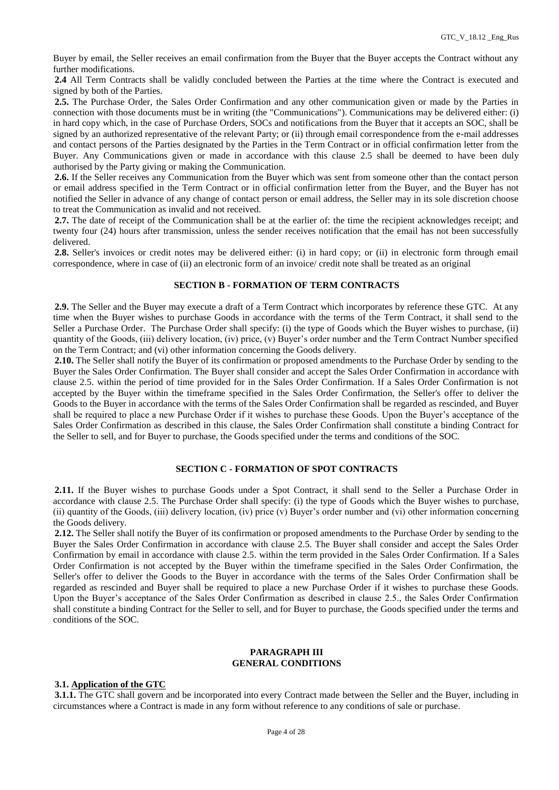Buyer by email, the Seller receives an email confirmation from the Buyer that the Buyer accepts the Contract without any further modifications.

**2.4** All Term Contracts shall be validly concluded between the Parties at the time where the Contract is executed and signed by both of the Parties.

**2.5.** The Purchase Order, the Sales Order Confirmation and any other communication given or made by the Parties in connection with those documents must be in writing (the "Communications"). Communications may be delivered either: (i) in hard copy which, in the case of Purchase Orders, SOCs and notifications from the Buyer that it accepts an SOC, shall be signed by an authorized representative of the relevant Party; or (ii) through email correspondence from the e-mail addresses and contact persons of the Parties designated by the Parties in the Term Contract or in official confirmation letter from the Buyer. Any Communications given or made in accordance with this clause 2.5 shall be deemed to have been duly authorised by the Party giving or making the Communication.

**2.6.** If the Seller receives any Communication from the Buyer which was sent from someone other than the contact person or email address specified in the Term Contract or in official confirmation letter from the Buyer, and the Buyer has not notified the Seller in advance of any change of contact person or email address, the Seller may in its sole discretion choose to treat the Communication as invalid and not received.

**2.7.** The date of receipt of the Communication shall be at the earlier of: the time the recipient acknowledges receipt; and twenty four (24) hours after transmission, unless the sender receives notification that the email has not been successfully delivered.

**2.8.** Seller's invoices or credit notes may be delivered either: (i) in hard copy; or (ii) in electronic form through email correspondence, where in case of (ii) an electronic form of an invoice/ credit note shall be treated as an original

## **SECTION B - FORMATION OF TERM CONTRACTS**

**2.9.** The Seller and the Buyer may execute a draft of a Term Contract which incorporates by reference these GTC. At any time when the Buyer wishes to purchase Goods in accordance with the terms of the Term Contract, it shall send to the Seller a Purchase Order. The Purchase Order shall specify: (i) the type of Goods which the Buyer wishes to purchase, (ii) quantity of the Goods, (iii) delivery location, (iv) price, (v) Buyer's order number and the Term Contract Number specified on the Term Contract; and (vi) other information concerning the Goods delivery.

**2.10.** The Seller shall notify the Buyer of its confirmation or proposed amendments to the Purchase Order by sending to the Buyer the Sales Order Confirmation. The Buyer shall consider and accept the Sales Order Confirmation in accordance with clause 2.5. within the period of time provided for in the Sales Order Confirmation. If a Sales Order Confirmation is not accepted by the Buyer within the timeframe specified in the Sales Order Confirmation, the Seller's offer to deliver the Goods to the Buyer in accordance with the terms of the Sales Order Confirmation shall be regarded as rescinded, and Buyer shall be required to place a new Purchase Order if it wishes to purchase these Goods. Upon the Buyer's acceptance of the Sales Order Confirmation as described in this clause, the Sales Order Confirmation shall constitute a binding Contract for the Seller to sell, and for Buyer to purchase, the Goods specified under the terms and conditions of the SOC.

## **SECTION C - FORMATION OF SPOT CONTRACTS**

**2.11.** If the Buyer wishes to purchase Goods under a Spot Contract, it shall send to the Seller a Purchase Order in accordance with clause 2.5. The Purchase Order shall specify: (i) the type of Goods which the Buyer wishes to purchase, (ii) quantity of the Goods, (iii) delivery location, (iv) price (v) Buyer's order number and (vi) other information concerning the Goods delivery.

**2.12.** The Seller shall notify the Buyer of its confirmation or proposed amendments to the Purchase Order by sending to the Buyer the Sales Order Confirmation in accordance with clause 2.5. The Buyer shall consider and accept the Sales Order Confirmation by email in accordance with clause 2.5. within the term provided in the Sales Order Confirmation. If a Sales Order Confirmation is not accepted by the Buyer within the timeframe specified in the Sales Order Confirmation, the Seller's offer to deliver the Goods to the Buyer in accordance with the terms of the Sales Order Confirmation shall be regarded as rescinded and Buyer shall be required to place a new Purchase Order if it wishes to purchase these Goods. Upon the Buyer's acceptance of the Sales Order Confirmation as described in clause 2.5., the Sales Order Confirmation shall constitute a binding Contract for the Seller to sell, and for Buyer to purchase, the Goods specified under the terms and conditions of the SOC.

#### **PARAGRAPH III GENERAL CONDITIONS**

## **3.1. Application of the GTC**

**3.1.1.** The GTC shall govern and be incorporated into every Contract made between the Seller and the Buyer, including in circumstances where a Contract is made in any form without reference to any conditions of sale or purchase.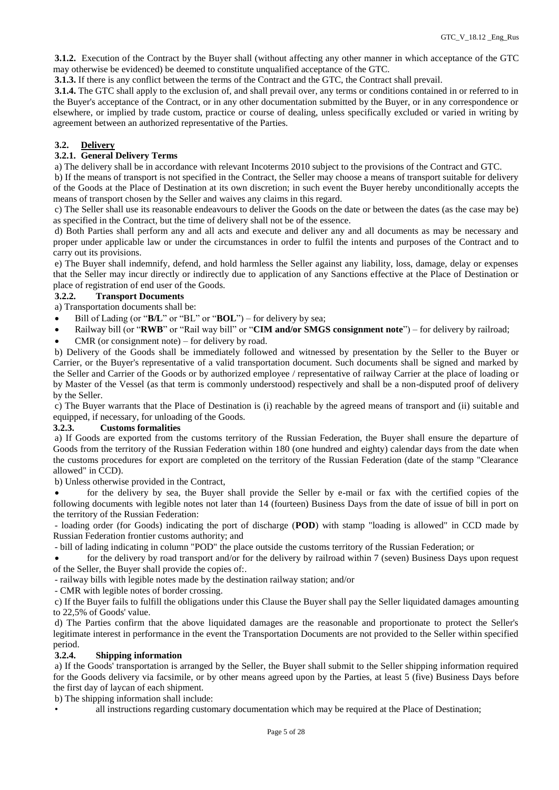**3.1.2.** Execution of the Contract by the Buyer shall (without affecting any other manner in which acceptance of the GTC may otherwise be evidenced) be deemed to constitute unqualified acceptance of the GTC.

**3.1.3.** If there is any conflict between the terms of the Contract and the GTC, the Contract shall prevail.

**3.1.4.** The GTC shall apply to the exclusion of, and shall prevail over, any terms or conditions contained in or referred to in the Buyer's acceptance of the Contract, or in any other documentation submitted by the Buyer, or in any correspondence or elsewhere, or implied by trade custom, practice or course of dealing, unless specifically excluded or varied in writing by agreement between an authorized representative of the Parties.

# **3.2. Delivery**

# **3.2.1. General Delivery Terms**

a) The delivery shall be in accordance with relevant Incoterms 2010 subject to the provisions of the Contract and GTC.

b) If the means of transport is not specified in the Contract, the Seller may choose a means of transport suitable for delivery of the Goods at the Place of Destination at its own discretion; in such event the Buyer hereby unconditionally accepts the means of transport chosen by the Seller and waives any claims in this regard.

c) The Seller shall use its reasonable endeavours to deliver the Goods on the date or between the dates (as the case may be) as specified in the Contract, but the time of delivery shall not be of the essence.

d) Both Parties shall perform any and all acts and execute and deliver any and all documents as may be necessary and proper under applicable law or under the circumstances in order to fulfil the intents and purposes of the Contract and to carry out its provisions.

e) The Buyer shall indemnify, defend, and hold harmless the Seller against any liability, loss, damage, delay or expenses that the Seller may incur directly or indirectly due to application of any Sanctions effective at the Place of Destination or place of registration of end user of the Goods.

# **3.2.2. Transport Documents**

a) Transportation documents shall be:

- Bill of Lading (or "**B/L**" or "BL" or "**BOL**") for delivery by sea;
- Railway bill (or "**RWB**" or "Rail way bill" or "**CIM and/or SMGS consignment note**") for delivery by railroad;
- CMR (or consignment note) for delivery by road.

b) Delivery of the Goods shall be immediately followed and witnessed by presentation by the Seller to the Buyer or Carrier, or the Buyer's representative of a valid transportation document. Such documents shall be signed and marked by the Seller and Carrier of the Goods or by authorized employee / representative of railway Carrier at the place of loading or by Master of the Vessel (as that term is commonly understood) respectively and shall be a non-disputed proof of delivery by the Seller.

c) The Buyer warrants that the Place of Destination is (i) reachable by the agreed means of transport and (ii) suitable and equipped, if necessary, for unloading of the Goods.

# **3.2.3. Customs formalities**

a) If Goods are exported from the customs territory of the Russian Federation, the Buyer shall ensure the departure of Goods from the territory of the Russian Federation within 180 (one hundred and eighty) calendar days from the date when the customs procedures for export are completed on the territory of the Russian Federation (date of the stamp "Clearance allowed" in CCD).

b) Unless otherwise provided in the Contract,

 for the delivery by sea, the Buyer shall provide the Seller by e-mail or fax with the certified copies of the following documents with legible notes not later than 14 (fourteen) Business Days from the date of issue of bill in port on the territory of the Russian Federation:

- loading order (for Goods) indicating the port of discharge (**POD**) with stamp "loading is allowed" in CCD made by Russian Federation frontier customs authority; and

- bill of lading indicating in column "POD" the place outside the customs territory of the Russian Federation; or

 for the delivery by road transport and/or for the delivery by railroad within 7 (seven) Business Days upon request of the Seller, the Buyer shall provide the copies of:.

- railway bills with legible notes made by the destination railway station; and/or

- CMR with legible notes of border crossing.

c) If the Buyer fails to fulfill the obligations under this Clause the Buyer shall pay the Seller liquidated damages amounting to 22,5% of Goods' value.

d) The Parties confirm that the above liquidated damages are the reasonable and proportionate to protect the Seller's legitimate interest in performance in the event the Transportation Documents are not provided to the Seller within specified period.

#### **3.2.4. Shipping information**

a) If the Goods' transportation is arranged by the Seller, the Buyer shall submit to the Seller shipping information required for the Goods delivery via facsimile, or by other means agreed upon by the Parties, at least 5 (five) Business Days before the first day of laycan of each shipment.

b) The shipping information shall include:

all instructions regarding customary documentation which may be required at the Place of Destination;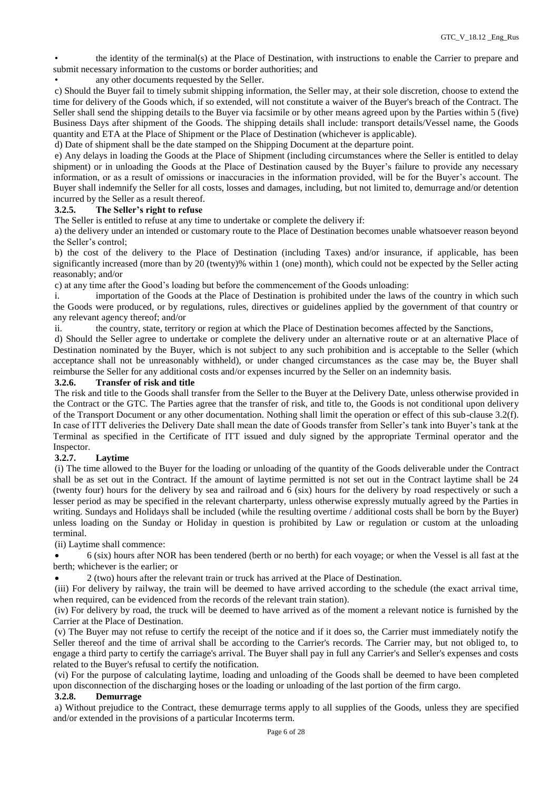• the identity of the terminal(s) at the Place of Destination, with instructions to enable the Carrier to prepare and submit necessary information to the customs or border authorities; and

any other documents requested by the Seller.

c) Should the Buyer fail to timely submit shipping information, the Seller may, at their sole discretion, choose to extend the time for delivery of the Goods which, if so extended, will not constitute a waiver of the Buyer's breach of the Contract. The Seller shall send the shipping details to the Buyer via facsimile or by other means agreed upon by the Parties within 5 (five) Business Days after shipment of the Goods. The shipping details shall include: transport details/Vessel name, the Goods quantity and ETA at the Place of Shipment or the Place of Destination (whichever is applicable).

d) Date of shipment shall be the date stamped on the Shipping Document at the departure point.

e) Any delays in loading the Goods at the Place of Shipment (including circumstances where the Seller is entitled to delay shipment) or in unloading the Goods at the Place of Destination caused by the Buyer's failure to provide any necessary information, or as a result of omissions or inaccuracies in the information provided, will be for the Buyer's account. The Buyer shall indemnify the Seller for all costs, losses and damages, including, but not limited to, demurrage and/or detention incurred by the Seller as a result thereof.

## **3.2.5. The Seller's right to refuse**

The Seller is entitled to refuse at any time to undertake or complete the delivery if:

a) the delivery under an intended or customary route to the Place of Destination becomes unable whatsoever reason beyond the Seller's control;

b) the cost of the delivery to the Place of Destination (including Taxes) and/or insurance, if applicable, has been significantly increased (more than by 20 (twenty)% within 1 (one) month), which could not be expected by the Seller acting reasonably; and/or

c) at any time after the Good's loading but before the commencement of the Goods unloading:

i. importation of the Goods at the Place of Destination is prohibited under the laws of the country in which such the Goods were produced, or by regulations, rules, directives or guidelines applied by the government of that country or any relevant agency thereof; and/or

ii. the country, state, territory or region at which the Place of Destination becomes affected by the Sanctions,

d) Should the Seller agree to undertake or complete the delivery under an alternative route or at an alternative Place of Destination nominated by the Buyer, which is not subject to any such prohibition and is acceptable to the Seller (which acceptance shall not be unreasonably withheld), or under changed circumstances as the case may be, the Buyer shall reimburse the Seller for any additional costs and/or expenses incurred by the Seller on an indemnity basis.

## **3.2.6. Transfer of risk and title**

The risk and title to the Goods shall transfer from the Seller to the Buyer at the Delivery Date, unless otherwise provided in the Contract or the GTC. The Parties agree that the transfer of risk, and title to, the Goods is not conditional upon delivery of the Transport Document or any other documentation. Nothing shall limit the operation or effect of this sub-clause 3.2(f). In case of ITT deliveries the Delivery Date shall mean the date of Goods transfer from Seller's tank into Buyer's tank at the Terminal as specified in the Certificate of ITT issued and duly signed by the appropriate Terminal operator and the Inspector.

# **3.2.7. Laytime**

(i) The time allowed to the Buyer for the loading or unloading of the quantity of the Goods deliverable under the Contract shall be as set out in the Contract. If the amount of laytime permitted is not set out in the Contract laytime shall be 24 (twenty four) hours for the delivery by sea and railroad and  $\vec{6}$  (six) hours for the delivery by road respectively or such a lesser period as may be specified in the relevant charterparty, unless otherwise expressly mutually agreed by the Parties in writing. Sundays and Holidays shall be included (while the resulting overtime / additional costs shall be born by the Buyer) unless loading on the Sunday or Holiday in question is prohibited by Law or regulation or custom at the unloading terminal.

(ii) Laytime shall commence:

 6 (six) hours after NOR has been tendered (berth or no berth) for each voyage; or when the Vessel is all fast at the berth; whichever is the earlier; or

2 (two) hours after the relevant train or truck has arrived at the Place of Destination.

(iii) For delivery by railway, the train will be deemed to have arrived according to the schedule (the exact arrival time, when required, can be evidenced from the records of the relevant train station).

(iv) For delivery by road, the truck will be deemed to have arrived as of the moment a relevant notice is furnished by the Carrier at the Place of Destination.

(v) The Buyer may not refuse to certify the receipt of the notice and if it does so, the Carrier must immediately notify the Seller thereof and the time of arrival shall be according to the Carrier's records. The Carrier may, but not obliged to, to engage a third party to certify the carriage's arrival. The Buyer shall pay in full any Carrier's and Seller's expenses and costs related to the Buyer's refusal to certify the notification.

(vi) For the purpose of calculating laytime, loading and unloading of the Goods shall be deemed to have been completed upon disconnection of the discharging hoses or the loading or unloading of the last portion of the firm cargo.

#### **3.2.8. Demurrage**

a) Without prejudice to the Contract, these demurrage terms apply to all supplies of the Goods, unless they are specified and/or extended in the provisions of a particular Incoterms term.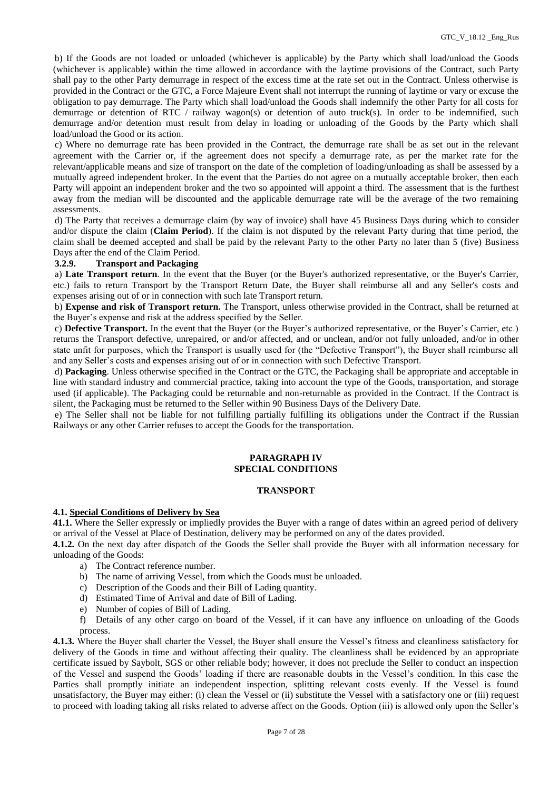b) If the Goods are not loaded or unloaded (whichever is applicable) by the Party which shall load/unload the Goods (whichever is applicable) within the time allowed in accordance with the laytime provisions of the Contract, such Party shall pay to the other Party demurrage in respect of the excess time at the rate set out in the Contract. Unless otherwise is provided in the Contract or the GTC, a Force Majeure Event shall not interrupt the running of laytime or vary or excuse the obligation to pay demurrage. The Party which shall load/unload the Goods shall indemnify the other Party for all costs for demurrage or detention of RTC / railway wagon(s) or detention of auto truck(s). In order to be indemnified, such demurrage and/or detention must result from delay in loading or unloading of the Goods by the Party which shall load/unload the Good or its action.

c) Where no demurrage rate has been provided in the Contract, the demurrage rate shall be as set out in the relevant agreement with the Carrier or, if the agreement does not specify a demurrage rate, as per the market rate for the relevant/applicable means and size of transport on the date of the completion of loading/unloading as shall be assessed by a mutually agreed independent broker. In the event that the Parties do not agree on a mutually acceptable broker, then each Party will appoint an independent broker and the two so appointed will appoint a third. The assessment that is the furthest away from the median will be discounted and the applicable demurrage rate will be the average of the two remaining assessments.

d) The Party that receives a demurrage claim (by way of invoice) shall have 45 Business Days during which to consider and/or dispute the claim (**Claim Period**). If the claim is not disputed by the relevant Party during that time period, the claim shall be deemed accepted and shall be paid by the relevant Party to the other Party no later than 5 (five) Business Days after the end of the Claim Period.

#### **3.2.9. Transport and Packaging**

a) **Late Transport return**. In the event that the Buyer (or the Buyer's authorized representative, or the Buyer's Carrier, etc.) fails to return Transport by the Transport Return Date, the Buyer shall reimburse all and any Seller's costs and expenses arising out of or in connection with such late Transport return.

b) **Expense and risk of Transport return.** The Transport, unless otherwise provided in the Contract, shall be returned at the Buyer's expense and risk at the address specified by the Seller.

c) **Defective Transport.** In the event that the Buyer (or the Buyer's authorized representative, or the Buyer's Carrier, etc.) returns the Transport defective, unrepaired, or and/or affected, and or unclean, and/or not fully unloaded, and/or in other state unfit for purposes, which the Transport is usually used for (the "Defective Transport"), the Buyer shall reimburse all and any Seller's costs and expenses arising out of or in connection with such Defective Transport.

d) **Packaging**. Unless otherwise specified in the Contract or the GTC, the Packaging shall be appropriate and acceptable in line with standard industry and commercial practice, taking into account the type of the Goods, transportation, and storage used (if applicable). The Packaging could be returnable and non-returnable as provided in the Contract. If the Contract is silent, the Packaging must be returned to the Seller within 90 Business Days of the Delivery Date.

e) The Seller shall not be liable for not fulfilling partially fulfilling its obligations under the Contract if the Russian Railways or any other Carrier refuses to accept the Goods for the transportation.

# **PARAGRAPH IV SPECIAL CONDITIONS**

## **TRANSPORT**

#### **4.1. Special Conditions of Delivery by Sea**

**41.1.** Where the Seller expressly or impliedly provides the Buyer with a range of dates within an agreed period of delivery or arrival of the Vessel at Place of Destination, delivery may be performed on any of the dates provided.

**4.1.2.** On the next day after dispatch of the Goods the Seller shall provide the Buyer with all information necessary for unloading of the Goods:

- a) The Contract reference number.
- b) The name of arriving Vessel, from which the Goods must be unloaded.
- c) Description of the Goods and their Bill of Lading quantity.
- d) Estimated Time of Arrival and date of Bill of Lading.
- e) Number of copies of Bill of Lading.
- f) Details of any other cargo on board of the Vessel, if it can have any influence on unloading of the Goods process.

**4.1.3.** Where the Buyer shall charter the Vessel, the Buyer shall ensure the Vessel's fitness and cleanliness satisfactory for delivery of the Goods in time and without affecting their quality. The cleanliness shall be evidenced by an appropriate certificate issued by Saybolt, SGS or other reliable body; however, it does not preclude the Seller to conduct an inspection of the Vessel and suspend the Goods' loading if there are reasonable doubts in the Vessel's condition. In this case the Parties shall promptly initiate an independent inspection, splitting relevant costs evenly. If the Vessel is found unsatisfactory, the Buyer may either: (i) clean the Vessel or (ii) substitute the Vessel with a satisfactory one or (iii) request to proceed with loading taking all risks related to adverse affect on the Goods. Option (iii) is allowed only upon the Seller's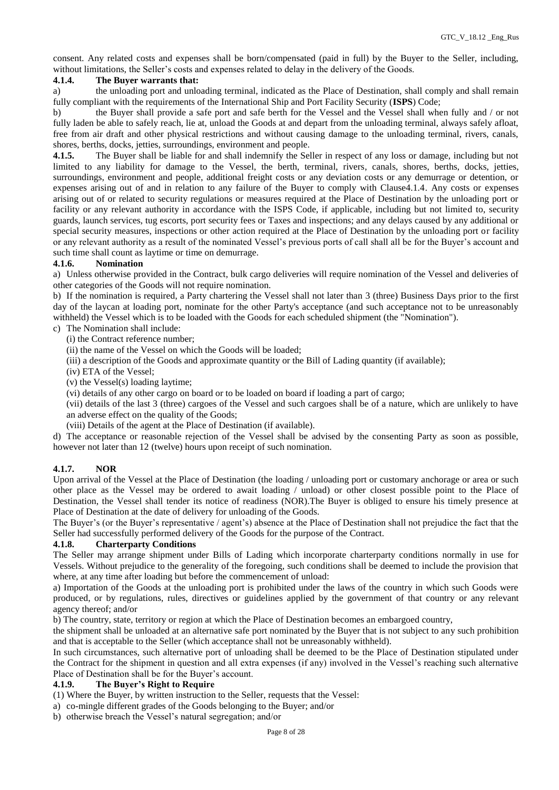consent. Any related costs and expenses shall be born/compensated (paid in full) by the Buyer to the Seller, including, without limitations, the Seller's costs and expenses related to delay in the delivery of the Goods.

## **4.1.4. The Buyer warrants that:**

a) the unloading port and unloading terminal, indicated as the Place of Destination, shall comply and shall remain fully compliant with the requirements of the International Ship and Port Facility Security (**ISPS**) Code;

b) the Buyer shall provide a safe port and safe berth for the Vessel and the Vessel shall when fully and / or not fully laden be able to safely reach, lie at, unload the Goods at and depart from the unloading terminal, always safely afloat, free from air draft and other physical restrictions and without causing damage to the unloading terminal, rivers, canals, shores, berths, docks, jetties, surroundings, environment and people.

**4.1.5.** The Buyer shall be liable for and shall indemnify the Seller in respect of any loss or damage, including but not limited to any liability for damage to the Vessel, the berth, terminal, rivers, canals, shores, berths, docks, jetties, surroundings, environment and people, additional freight costs or any deviation costs or any demurrage or detention, or expenses arising out of and in relation to any failure of the Buyer to comply with Clause4.1.4. Any costs or expenses arising out of or related to security regulations or measures required at the Place of Destination by the unloading port or facility or any relevant authority in accordance with the ISPS Code, if applicable, including but not limited to, security guards, launch services, tug escorts, port security fees or Taxes and inspections; and any delays caused by any additional or special security measures, inspections or other action required at the Place of Destination by the unloading port or facility or any relevant authority as a result of the nominated Vessel's previous ports of call shall all be for the Buyer's account and such time shall count as laytime or time on demurrage.

## **4.1.6. Nomination**

a) Unless otherwise provided in the Contract, bulk cargo deliveries will require nomination of the Vessel and deliveries of other categories of the Goods will not require nomination.

b) If the nomination is required, a Party chartering the Vessel shall not later than 3 (three) Business Days prior to the first day of the laycan at loading port, nominate for the other Party's acceptance (and such acceptance not to be unreasonably withheld) the Vessel which is to be loaded with the Goods for each scheduled shipment (the "Nomination").

- c) The Nomination shall include:
	- (i) the Contract reference number;
	- (ii) the name of the Vessel on which the Goods will be loaded;
	- (iii) a description of the Goods and approximate quantity or the Bill of Lading quantity (if available);
	- (iv) ETA of the Vessel;
	- (v) the Vessel(s) loading laytime;
	- (vi) details of any other cargo on board or to be loaded on board if loading a part of cargo;

(vii) details of the last 3 (three) cargoes of the Vessel and such cargoes shall be of a nature, which are unlikely to have an adverse effect on the quality of the Goods;

(viii) Details of the agent at the Place of Destination (if available).

d) The acceptance or reasonable rejection of the Vessel shall be advised by the consenting Party as soon as possible, however not later than 12 (twelve) hours upon receipt of such nomination.

# **4.1.7. NOR**

Upon arrival of the Vessel at the Place of Destination (the loading / unloading port or customary anchorage or area or such other place as the Vessel may be ordered to await loading / unload) or other closest possible point to the Place of Destination, the Vessel shall tender its notice of readiness (NOR).The Buyer is obliged to ensure his timely presence at Place of Destination at the date of delivery for unloading of the Goods.

The Buyer's (or the Buyer's representative / agent's) absence at the Place of Destination shall not prejudice the fact that the Seller had successfully performed delivery of the Goods for the purpose of the Contract.

#### **4.1.8. Charterparty Conditions**

The Seller may arrange shipment under Bills of Lading which incorporate charterparty conditions normally in use for Vessels. Without prejudice to the generality of the foregoing, such conditions shall be deemed to include the provision that where, at any time after loading but before the commencement of unload:

a) Importation of the Goods at the unloading port is prohibited under the laws of the country in which such Goods were produced, or by regulations, rules, directives or guidelines applied by the government of that country or any relevant agency thereof; and/or

b) The country, state, territory or region at which the Place of Destination becomes an embargoed country,

the shipment shall be unloaded at an alternative safe port nominated by the Buyer that is not subject to any such prohibition and that is acceptable to the Seller (which acceptance shall not be unreasonably withheld).

In such circumstances, such alternative port of unloading shall be deemed to be the Place of Destination stipulated under the Contract for the shipment in question and all extra expenses (if any) involved in the Vessel's reaching such alternative Place of Destination shall be for the Buyer's account.

#### **4.1.9. The Buyer's Right to Require**

(1) Where the Buyer, by written instruction to the Seller, requests that the Vessel:

- a) co-mingle different grades of the Goods belonging to the Buyer; and/or
- b) otherwise breach the Vessel's natural segregation; and/or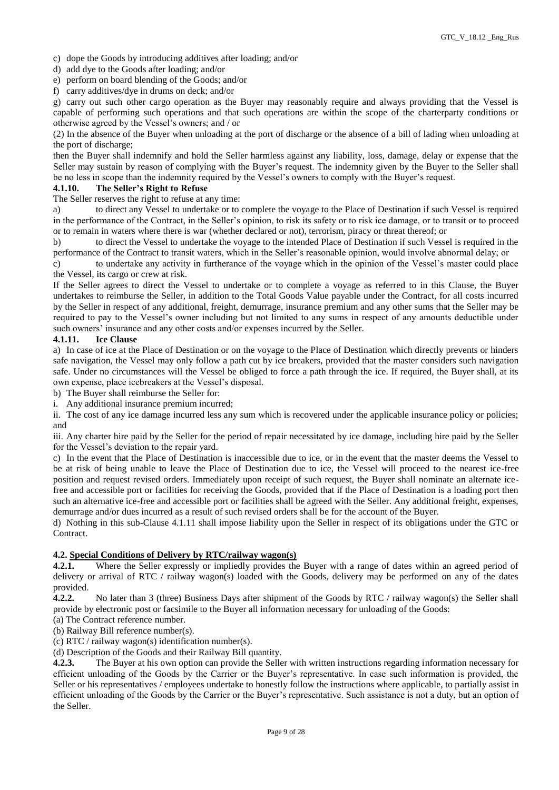c) dope the Goods by introducing additives after loading; and/or

d) add dye to the Goods after loading; and/or

e) perform on board blending of the Goods; and/or

f) carry additives/dye in drums on deck; and/or

g) carry out such other cargo operation as the Buyer may reasonably require and always providing that the Vessel is capable of performing such operations and that such operations are within the scope of the charterparty conditions or otherwise agreed by the Vessel's owners; and / or

(2) In the absence of the Buyer when unloading at the port of discharge or the absence of a bill of lading when unloading at the port of discharge;

then the Buyer shall indemnify and hold the Seller harmless against any liability, loss, damage, delay or expense that the Seller may sustain by reason of complying with the Buyer's request. The indemnity given by the Buyer to the Seller shall be no less in scope than the indemnity required by the Vessel's owners to comply with the Buyer's request.

## **4.1.10. The Seller's Right to Refuse**

The Seller reserves the right to refuse at any time:

a) to direct any Vessel to undertake or to complete the voyage to the Place of Destination if such Vessel is required in the performance of the Contract, in the Seller's opinion, to risk its safety or to risk ice damage, or to transit or to proceed or to remain in waters where there is war (whether declared or not), terrorism, piracy or threat thereof; or

b) to direct the Vessel to undertake the voyage to the intended Place of Destination if such Vessel is required in the performance of the Contract to transit waters, which in the Seller's reasonable opinion, would involve abnormal delay; or

c) to undertake any activity in furtherance of the voyage which in the opinion of the Vessel's master could place the Vessel, its cargo or crew at risk.

If the Seller agrees to direct the Vessel to undertake or to complete a voyage as referred to in this Clause, the Buyer undertakes to reimburse the Seller, in addition to the Total Goods Value payable under the Contract, for all costs incurred by the Seller in respect of any additional, freight, demurrage, insurance premium and any other sums that the Seller may be required to pay to the Vessel's owner including but not limited to any sums in respect of any amounts deductible under such owners' insurance and any other costs and/or expenses incurred by the Seller.

## **4.1.11. Ice Clause**

a) In case of ice at the Place of Destination or on the voyage to the Place of Destination which directly prevents or hinders safe navigation, the Vessel may only follow a path cut by ice breakers, provided that the master considers such navigation safe. Under no circumstances will the Vessel be obliged to force a path through the ice. If required, the Buyer shall, at its own expense, place icebreakers at the Vessel's disposal.

b) The Buyer shall reimburse the Seller for:

i. Any additional insurance premium incurred;

ii. The cost of any ice damage incurred less any sum which is recovered under the applicable insurance policy or policies; and

iii. Any charter hire paid by the Seller for the period of repair necessitated by ice damage, including hire paid by the Seller for the Vessel's deviation to the repair yard.

c) In the event that the Place of Destination is inaccessible due to ice, or in the event that the master deems the Vessel to be at risk of being unable to leave the Place of Destination due to ice, the Vessel will proceed to the nearest ice-free position and request revised orders. Immediately upon receipt of such request, the Buyer shall nominate an alternate icefree and accessible port or facilities for receiving the Goods, provided that if the Place of Destination is a loading port then such an alternative ice-free and accessible port or facilities shall be agreed with the Seller. Any additional freight, expenses, demurrage and/or dues incurred as a result of such revised orders shall be for the account of the Buyer.

d) Nothing in this sub-Clause 4.1.11 shall impose liability upon the Seller in respect of its obligations under the GTC or Contract.

# **4.2. Special Conditions of Delivery by RTC/railway wagon(s)**

**4.2.1.** Where the Seller expressly or impliedly provides the Buyer with a range of dates within an agreed period of delivery or arrival of RTC / railway wagon(s) loaded with the Goods, delivery may be performed on any of the dates provided.

**4.2.2.** No later than 3 (three) Business Days after shipment of the Goods by RTC / railway wagon(s) the Seller shall provide by electronic post or facsimile to the Buyer all information necessary for unloading of the Goods:

(a) The Contract reference number.

(b) Railway Bill reference number(s).

(c) RTC / railway wagon(s) identification number(s).

(d) Description of the Goods and their Railway Bill quantity.

**4.2.3.** The Buyer at his own option can provide the Seller with written instructions regarding information necessary for efficient unloading of the Goods by the Carrier or the Buyer's representative. In case such information is provided, the Seller or his representatives / employees undertake to honestly follow the instructions where applicable, to partially assist in efficient unloading of the Goods by the Carrier or the Buyer's representative. Such assistance is not a duty, but an option of the Seller.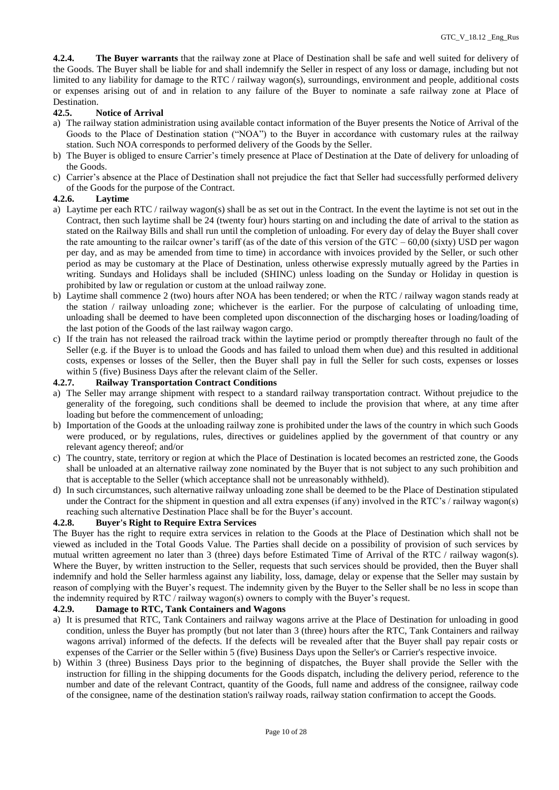**4.2.4. The Buyer warrants** that the railway zone at Place of Destination shall be safe and well suited for delivery of the Goods. The Buyer shall be liable for and shall indemnify the Seller in respect of any loss or damage, including but not limited to any liability for damage to the RTC / railway wagon(s), surroundings, environment and people, additional costs or expenses arising out of and in relation to any failure of the Buyer to nominate a safe railway zone at Place of Destination.

# **42.5. Notice of Arrival**

- a) The railway station administration using available contact information of the Buyer presents the Notice of Arrival of the Goods to the Place of Destination station ("NOA") to the Buyer in accordance with customary rules at the railway station. Such NOA corresponds to performed delivery of the Goods by the Seller.
- b) The Buyer is obliged to ensure Carrier's timely presence at Place of Destination at the Date of delivery for unloading of the Goods.
- c) Carrier's absence at the Place of Destination shall not prejudice the fact that Seller had successfully performed delivery of the Goods for the purpose of the Contract.

## **4.2.6. Laytime**

- a) Laytime per each RTC / railway wagon(s) shall be as set out in the Contract. In the event the laytime is not set out in the Contract, then such laytime shall be 24 (twenty four) hours starting on and including the date of arrival to the station as stated on the Railway Bills and shall run until the completion of unloading. For every day of delay the Buyer shall cover the rate amounting to the railcar owner's tariff (as of the date of this version of the GTC –  $60,00$  (sixty) USD per wagon per day, and as may be amended from time to time) in accordance with invoices provided by the Seller, or such other period as may be customary at the Place of Destination, unless otherwise expressly mutually agreed by the Parties in writing. Sundays and Holidays shall be included (SHINC) unless loading on the Sunday or Holiday in question is prohibited by law or regulation or custom at the unload railway zone.
- b) Laytime shall commence 2 (two) hours after NOA has been tendered; or when the RTC / railway wagon stands ready at the station / railway unloading zone; whichever is the earlier. For the purpose of calculating of unloading time, unloading shall be deemed to have been completed upon disconnection of the discharging hoses or loading/loading of the last potion of the Goods of the last railway wagon cargo.
- c) If the train has not released the railroad track within the laytime period or promptly thereafter through no fault of the Seller (e.g. if the Buyer is to unload the Goods and has failed to unload them when due) and this resulted in additional costs, expenses or losses of the Seller, then the Buyer shall pay in full the Seller for such costs, expenses or losses within 5 (five) Business Days after the relevant claim of the Seller.

#### **4.2.7. Railway Transportation Contract Conditions**

- a) The Seller may arrange shipment with respect to a standard railway transportation contract. Without prejudice to the generality of the foregoing, such conditions shall be deemed to include the provision that where, at any time after loading but before the commencement of unloading;
- b) Importation of the Goods at the unloading railway zone is prohibited under the laws of the country in which such Goods were produced, or by regulations, rules, directives or guidelines applied by the government of that country or any relevant agency thereof; and/or
- c) The country, state, territory or region at which the Place of Destination is located becomes an restricted zone, the Goods shall be unloaded at an alternative railway zone nominated by the Buyer that is not subject to any such prohibition and that is acceptable to the Seller (which acceptance shall not be unreasonably withheld).
- d) In such circumstances, such alternative railway unloading zone shall be deemed to be the Place of Destination stipulated under the Contract for the shipment in question and all extra expenses (if any) involved in the RTC's / railway wagon(s) reaching such alternative Destination Place shall be for the Buyer's account.

# **4.2.8. Buyer's Right to Require Extra Services**

The Buyer has the right to require extra services in relation to the Goods at the Place of Destination which shall not be viewed as included in the Total Goods Value. The Parties shall decide on a possibility of provision of such services by mutual written agreement no later than 3 (three) days before Estimated Time of Arrival of the RTC / railway wagon(s). Where the Buyer, by written instruction to the Seller, requests that such services should be provided, then the Buyer shall indemnify and hold the Seller harmless against any liability, loss, damage, delay or expense that the Seller may sustain by reason of complying with the Buyer's request. The indemnity given by the Buyer to the Seller shall be no less in scope than the indemnity required by RTC / railway wagon(s) owners to comply with the Buyer's request.

#### **4.2.9. Damage to RTC, Tank Containers and Wagons**

- a) It is presumed that RTC, Tank Containers and railway wagons arrive at the Place of Destination for unloading in good condition, unless the Buyer has promptly (but not later than 3 (three) hours after the RTC, Tank Containers and railway wagons arrival) informed of the defects. If the defects will be revealed after that the Buyer shall pay repair costs or expenses of the Carrier or the Seller within 5 (five) Business Days upon the Seller's or Carrier's respective invoice.
- b) Within 3 (three) Business Days prior to the beginning of dispatches, the Buyer shall provide the Seller with the instruction for filling in the shipping documents for the Goods dispatch, including the delivery period, reference to the number and date of the relevant Contract, quantity of the Goods, full name and address of the consignee, railway code of the consignee, name of the destination station's railway roads, railway station confirmation to accept the Goods.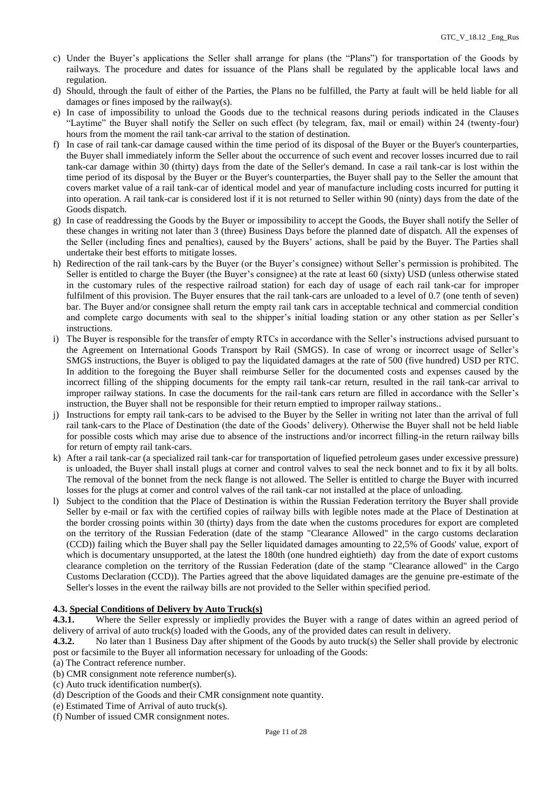- c) Under the Buyer's applications the Seller shall arrange for plans (the "Plans") for transportation of the Goods by railways. The procedure and dates for issuance of the Plans shall be regulated by the applicable local laws and regulation.
- d) Should, through the fault of either of the Parties, the Plans no be fulfilled, the Party at fault will be held liable for all damages or fines imposed by the railway(s).
- e) In case of impossibility to unload the Goods due to the technical reasons during periods indicated in the Clauses "Laytime" the Buyer shall notify the Seller on such effect (by telegram, fax, mail or email) within 24 (twenty-four) hours from the moment the rail tank-car arrival to the station of destination.
- f) In case of rail tank-car damage caused within the time period of its disposal of the Buyer or the Buyer's counterparties, the Buyer shall immediately inform the Seller about the occurrence of such event and recover losses incurred due to rail tank-car damage within 30 (thirty) days from the date of the Seller's demand. In case a rail tank-car is lost within the time period of its disposal by the Buyer or the Buyer's counterparties, the Buyer shall pay to the Seller the amount that covers market value of a rail tank-car of identical model and year of manufacture including costs incurred for putting it into operation. A rail tank-car is considered lost if it is not returned to Seller within 90 (ninty) days from the date of the Goods dispatch.
- g) In case of readdressing the Goods by the Buyer or impossibility to accept the Goods, the Buyer shall notify the Seller of these changes in writing not later than 3 (three) Business Days before the planned date of dispatch. All the expenses of the Seller (including fines and penalties), caused by the Buyers' actions, shall be paid by the Buyer. The Parties shall undertake their best efforts to mitigate losses.
- h) Redirection of the rail tank-cars by the Buyer (or the Buyer's consignee) without Seller's permission is prohibited. The Seller is entitled to charge the Buyer (the Buyer's consignee) at the rate at least 60 (sixty) USD (unless otherwise stated in the customary rules of the respective railroad station) for each day of usage of each rail tank-car for improper fulfilment of this provision. The Buyer ensures that the rail tank-cars are unloaded to a level of 0.7 (one tenth of seven) bar. The Buyer and/or consignee shall return the empty rail tank cars in acceptable technical and commercial condition and complete cargo documents with seal to the shipper's initial loading station or any other station as per Seller's instructions.
- i) The Buyer is responsible for the transfer of empty RTCs in accordance with the Seller's instructions advised pursuant to the Agreement on International Goods Transport by Rail (SMGS). In case of wrong or incorrect usage of Seller's SMGS instructions, the Buyer is obliged to pay the liquidated damages at the rate of 500 (five hundred) USD per RTC. In addition to the foregoing the Buyer shall reimburse Seller for the documented costs and expenses caused by the incorrect filling of the shipping documents for the empty rail tank-car return, resulted in the rail tank-car arrival to improper railway stations. In case the documents for the rail-tank cars return are filled in accordance with the Seller's instruction, the Buyer shall not be responsible for their return emptied to improper railway stations..
- j) Instructions for empty rail tank-cars to be advised to the Buyer by the Seller in writing not later than the arrival of full rail tank-cars to the Place of Destination (the date of the Goods' delivery). Otherwise the Buyer shall not be held liable for possible costs which may arise due to absence of the instructions and/or incorrect filling-in the return railway bills for return of empty rail tank-cars.
- k) After a rail tank-car (a specialized rail tank-car for transportation of liquefied petroleum gases under excessive pressure) is unloaded, the Buyer shall install plugs at corner and control valves to seal the neck bonnet and to fix it by all bolts. The removal of the bonnet from the neck flange is not allowed. The Seller is entitled to charge the Buyer with incurred losses for the plugs at corner and control valves of the rail tank-car not installed at the place of unloading.
- l) Subject to the condition that the Place of Destination is within the Russian Federation territory the Buyer shall provide Seller by e-mail or fax with the certified copies of railway bills with legible notes made at the Place of Destination at the border crossing points within 30 (thirty) days from the date when the customs procedures for export are completed on the territory of the Russian Federation (date of the stamp "Clearance Allowed" in the cargo customs declaration (CCD)) failing which the Buyer shall pay the Seller liquidated damages amounting to 22,5% of Goods' value, export of which is documentary unsupported, at the latest the 180th (one hundred eightieth) day from the date of export customs clearance completion on the territory of the Russian Federation (date of the stamp "Clearance allowed" in the Cargo Customs Declaration (CCD)). The Parties agreed that the above liquidated damages are the genuine pre-estimate of the Seller's losses in the event the railway bills are not provided to the Seller within specified period.

# **4.3. Special Conditions of Delivery by Auto Truck(s)**

**4.3.1.** Where the Seller expressly or impliedly provides the Buyer with a range of dates within an agreed period of delivery of arrival of auto truck(s) loaded with the Goods, any of the provided dates can result in delivery.

**4.3.2.** No later than 1 Business Day after shipment of the Goods by auto truck(s) the Seller shall provide by electronic post or facsimile to the Buyer all information necessary for unloading of the Goods:

- (a) The Contract reference number.
- (b) CMR consignment note reference number(s).
- (c) Auto truck identification number(s).
- (d) Description of the Goods and their CMR consignment note quantity.
- (e) Estimated Time of Arrival of auto truck(s).
- (f) Number of issued CMR consignment notes.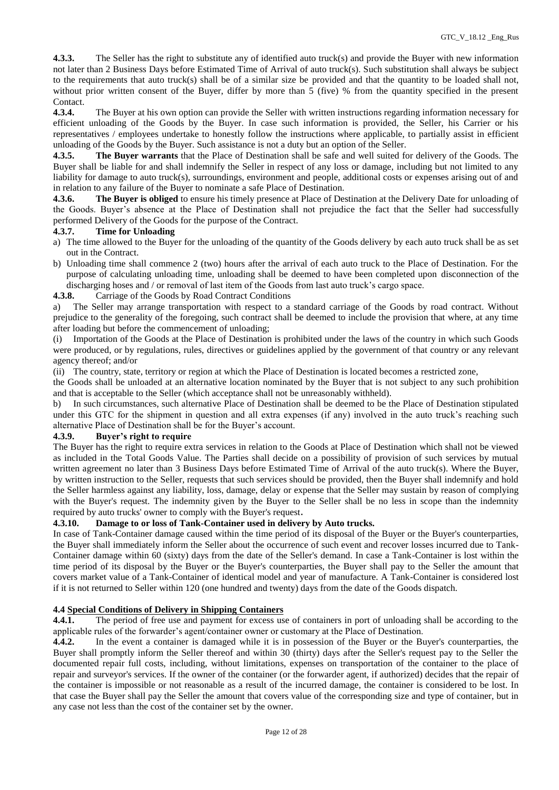**4.3.3.** The Seller has the right to substitute any of identified auto truck(s) and provide the Buyer with new information not later than 2 Business Days before Estimated Time of Arrival of auto truck(s). Such substitution shall always be subject to the requirements that auto truck(s) shall be of a similar size be provided and that the quantity to be loaded shall not, without prior written consent of the Buyer, differ by more than 5 (five) % from the quantity specified in the present Contact.

**4.3.4.** The Buyer at his own option can provide the Seller with written instructions regarding information necessary for efficient unloading of the Goods by the Buyer. In case such information is provided, the Seller, his Carrier or his representatives / employees undertake to honestly follow the instructions where applicable, to partially assist in efficient unloading of the Goods by the Buyer. Such assistance is not a duty but an option of the Seller.

**4.3.5. The Buyer warrants** that the Place of Destination shall be safe and well suited for delivery of the Goods. The Buyer shall be liable for and shall indemnify the Seller in respect of any loss or damage, including but not limited to any liability for damage to auto truck(s), surroundings, environment and people, additional costs or expenses arising out of and in relation to any failure of the Buyer to nominate a safe Place of Destination.

**4.3.6. The Buyer is obliged** to ensure his timely presence at Place of Destination at the Delivery Date for unloading of the Goods. Buyer's absence at the Place of Destination shall not prejudice the fact that the Seller had successfully performed Delivery of the Goods for the purpose of the Contract.

#### **4.3.7. Time for Unloading**

- a) The time allowed to the Buyer for the unloading of the quantity of the Goods delivery by each auto truck shall be as set out in the Contract.
- b) Unloading time shall commence 2 (two) hours after the arrival of each auto truck to the Place of Destination. For the purpose of calculating unloading time, unloading shall be deemed to have been completed upon disconnection of the discharging hoses and / or removal of last item of the Goods from last auto truck's cargo space.
- **4.3.8.** Carriage of the Goods by Road Contract Conditions

a) The Seller may arrange transportation with respect to a standard carriage of the Goods by road contract. Without prejudice to the generality of the foregoing, such contract shall be deemed to include the provision that where, at any time after loading but before the commencement of unloading;

Importation of the Goods at the Place of Destination is prohibited under the laws of the country in which such Goods were produced, or by regulations, rules, directives or guidelines applied by the government of that country or any relevant agency thereof; and/or

(ii) The country, state, territory or region at which the Place of Destination is located becomes a restricted zone,

the Goods shall be unloaded at an alternative location nominated by the Buyer that is not subject to any such prohibition and that is acceptable to the Seller (which acceptance shall not be unreasonably withheld).

b) In such circumstances, such alternative Place of Destination shall be deemed to be the Place of Destination stipulated under this GTC for the shipment in question and all extra expenses (if any) involved in the auto truck's reaching such alternative Place of Destination shall be for the Buyer's account.

#### **4.3.9. Buyer's right to require**

The Buyer has the right to require extra services in relation to the Goods at Place of Destination which shall not be viewed as included in the Total Goods Value. The Parties shall decide on a possibility of provision of such services by mutual written agreement no later than 3 Business Days before Estimated Time of Arrival of the auto truck(s). Where the Buyer, by written instruction to the Seller, requests that such services should be provided, then the Buyer shall indemnify and hold the Seller harmless against any liability, loss, damage, delay or expense that the Seller may sustain by reason of complying with the Buyer's request. The indemnity given by the Buyer to the Seller shall be no less in scope than the indemnity required by auto trucks' owner to comply with the Buyer's request.

#### **4.3.10. Damage to or loss of Tank-Container used in delivery by Auto trucks.**

In case of Tank-Container damage caused within the time period of its disposal of the Buyer or the Buyer's counterparties, the Buyer shall immediately inform the Seller about the occurrence of such event and recover losses incurred due to Tank-Container damage within 60 (sixty) days from the date of the Seller's demand. In case a Tank-Container is lost within the time period of its disposal by the Buyer or the Buyer's counterparties, the Buyer shall pay to the Seller the amount that covers market value of a Tank-Container of identical model and year of manufacture. A Tank-Container is considered lost if it is not returned to Seller within 120 (one hundred and twenty) days from the date of the Goods dispatch.

# **4.4 Special Conditions of Delivery in Shipping Containers**

**4.4.1.** The period of free use and payment for excess use of containers in port of unloading shall be according to the applicable rules of the forwarder's agent/container owner or customary at the Place of Destination.

**4.4.2.** In the event a container is damaged while it is in possession of the Buyer or the Buyer's counterparties, the Buyer shall promptly inform the Seller thereof and within 30 (thirty) days after the Seller's request pay to the Seller the documented repair full costs, including, without limitations, expenses on transportation of the container to the place of repair and surveyor's services. If the owner of the container (or the forwarder agent, if authorized) decides that the repair of the container is impossible or not reasonable as a result of the incurred damage, the container is considered to be lost. In that case the Buyer shall pay the Seller the amount that covers value of the corresponding size and type of container, but in any case not less than the cost of the container set by the owner.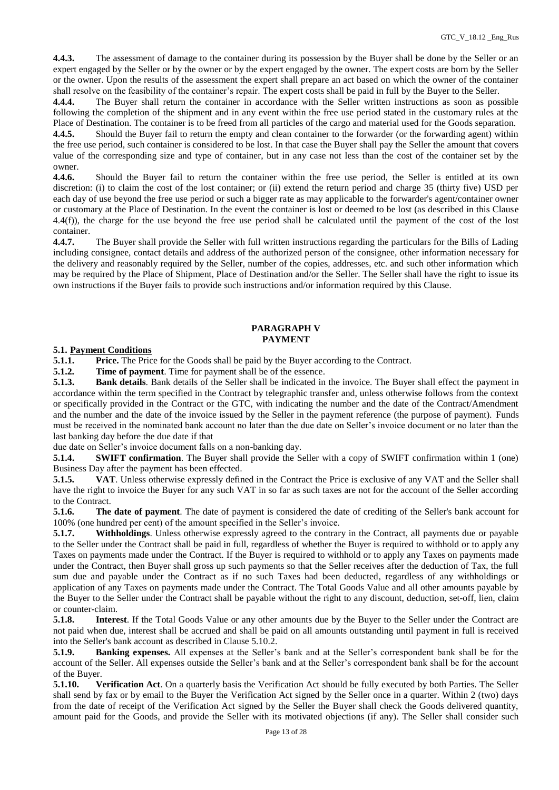**4.4.3.** The assessment of damage to the container during its possession by the Buyer shall be done by the Seller or an expert engaged by the Seller or by the owner or by the expert engaged by the owner. The expert costs are born by the Seller or the owner. Upon the results of the assessment the expert shall prepare an act based on which the owner of the container shall resolve on the feasibility of the container's repair. The expert costs shall be paid in full by the Buyer to the Seller.

**4.4.4.** The Buyer shall return the container in accordance with the Seller written instructions as soon as possible following the completion of the shipment and in any event within the free use period stated in the customary rules at the Place of Destination. The container is to be freed from all particles of the cargo and material used for the Goods separation.

**4.4.5.** Should the Buyer fail to return the empty and clean container to the forwarder (or the forwarding agent) within the free use period, such container is considered to be lost. In that case the Buyer shall pay the Seller the amount that covers value of the corresponding size and type of container, but in any case not less than the cost of the container set by the owner.

**4.4.6.** Should the Buyer fail to return the container within the free use period, the Seller is entitled at its own discretion: (i) to claim the cost of the lost container; or (ii) extend the return period and charge 35 (thirty five) USD per each day of use beyond the free use period or such a bigger rate as may applicable to the forwarder's agent/container owner or customary at the Place of Destination. In the event the container is lost or deemed to be lost (as described in this Clause 4.4(f)), the charge for the use beyond the free use period shall be calculated until the payment of the cost of the lost container.

**4.4.7.** The Buyer shall provide the Seller with full written instructions regarding the particulars for the Bills of Lading including consignee, contact details and address of the authorized person of the consignee, other information necessary for the delivery and reasonably required by the Seller, number of the copies, addresses, etc. and such other information which may be required by the Place of Shipment, Place of Destination and/or the Seller. The Seller shall have the right to issue its own instructions if the Buyer fails to provide such instructions and/or information required by this Clause.

# **PARAGRAPH V PAYMENT**

#### **5.1. Payment Conditions**

**5.1.1. Price.** The Price for the Goods shall be paid by the Buyer according to the Contract.

**5.1.2. Time of payment**. Time for payment shall be of the essence.

**5.1.3. Bank details**. Bank details of the Seller shall be indicated in the invoice. The Buyer shall effect the payment in accordance within the term specified in the Contract by telegraphic transfer and, unless otherwise follows from the context or specifically provided in the Contract or the GTC, with indicating the number and the date of the Contract/Amendment and the number and the date of the invoice issued by the Seller in the payment reference (the purpose of payment). Funds must be received in the nominated bank account no later than the due date on Seller's invoice document or no later than the last banking day before the due date if that

due date on Seller's invoice document falls on a non-banking day.

**5.1.4. SWIFT confirmation**. The Buyer shall provide the Seller with a copy of SWIFT confirmation within 1 (one) Business Day after the payment has been effected.

**5.1.5. VAT**. Unless otherwise expressly defined in the Contract the Price is exclusive of any VAT and the Seller shall have the right to invoice the Buyer for any such VAT in so far as such taxes are not for the account of the Seller according to the Contract.

**5.1.6. The date of payment**. The date of payment is considered the date of crediting of the Seller's bank account for 100% (one hundred per cent) of the amount specified in the Seller's invoice.

**5.1.7. Withholdings**. Unless otherwise expressly agreed to the contrary in the Contract, all payments due or payable to the Seller under the Contract shall be paid in full, regardless of whether the Buyer is required to withhold or to apply any Taxes on payments made under the Contract. If the Buyer is required to withhold or to apply any Taxes on payments made under the Contract, then Buyer shall gross up such payments so that the Seller receives after the deduction of Tax, the full sum due and payable under the Contract as if no such Taxes had been deducted, regardless of any withholdings or application of any Taxes on payments made under the Contract. The Total Goods Value and all other amounts payable by the Buyer to the Seller under the Contract shall be payable without the right to any discount, deduction, set-off, lien, claim or counter-claim.

**5.1.8. Interest**. If the Total Goods Value or any other amounts due by the Buyer to the Seller under the Contract are not paid when due, interest shall be accrued and shall be paid on all amounts outstanding until payment in full is received into the Seller's bank account as described in Clause 5.10.2.

**5.1.9. Banking expenses.** All expenses at the Seller's bank and at the Seller's correspondent bank shall be for the account of the Seller. All expenses outside the Seller's bank and at the Seller's correspondent bank shall be for the account of the Buyer.

**5.1.10. Verification Act**. On a quarterly basis the Verification Act should be fully executed by both Parties. The Seller shall send by fax or by email to the Buyer the Verification Act signed by the Seller once in a quarter. Within 2 (two) days from the date of receipt of the Verification Act signed by the Seller the Buyer shall check the Goods delivered quantity, amount paid for the Goods, and provide the Seller with its motivated objections (if any). The Seller shall consider such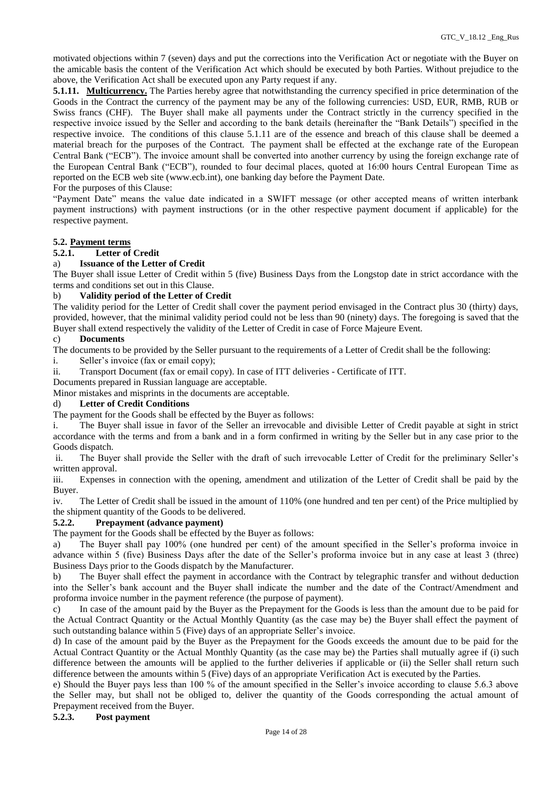motivated objections within 7 (seven) days and put the corrections into the Verification Act or negotiate with the Buyer on the amicable basis the content of the Verification Act which should be executed by both Parties. Without prejudice to the above, the Verification Act shall be executed upon any Party request if any.

**5.1.11. Multicurrency.** The Parties hereby agree that notwithstanding the currency specified in price determination of the Goods in the Contract the currency of the payment may be any of the following currencies: USD, EUR, RMB, RUB or Swiss francs (CHF). The Buyer shall make all payments under the Contract strictly in the currency specified in the respective invoice issued by the Seller and according to the bank details (hereinafter the "Bank Details") specified in the respective invoice. The conditions of this clause 5.1.11 are of the essence and breach of this clause shall be deemed a material breach for the purposes of the Contract. The payment shall be effected at the exchange rate of the European Central Bank ("ECB"). The invoice amount shall be converted into another currency by using the foreign exchange rate of the European Central Bank ("ECB"), rounded to four decimal places, quoted at 16:00 hours Central European Time as reported on the ECB web site [\(www.ecb.int\)](https://urldefense.proofpoint.com/v2/url?u=http-3A__www.ecb.int&d=DwMGaQ&c=ptMoEJ5oTofwe4L9tBtGCQ&r=NKFf0xBnqjEI9x7Jy2O4LnREaIU2RCSKwLPa1twtm2k&m=nutHxWE4p16GbrnDEzTBAmAcABmevyKWvts0KDzcvg0&s=p_bgQn342ZRvhTogEJc9-lkNZ6vFQb8aUDkEkUx6vN4&e=), one banking day before the Payment Date.

For the purposes of this Clause:

"Payment Date" means the value date indicated in a SWIFT message (or other accepted means of written interbank payment instructions) with payment instructions (or in the other respective payment document if applicable) for the respective payment.

# **5.2. Payment terms**

# **5.2.1. Letter of Credit**

## a) **Issuance of the Letter of Credit**

The Buyer shall issue Letter of Credit within 5 (five) Business Days from the Longstop date in strict accordance with the terms and conditions set out in this Clause.

# b) **Validity period of the Letter of Credit**

The validity period for the Letter of Credit shall cover the payment period envisaged in the Contract plus 30 (thirty) days, provided, however, that the minimal validity period could not be less than 90 (ninety) days. The foregoing is saved that the Buyer shall extend respectively the validity of the Letter of Credit in case of Force Majeure Event.

## c) **Documents**

The documents to be provided by the Seller pursuant to the requirements of a Letter of Credit shall be the following:

- i. Seller's invoice (fax or email copy);
- ii. Transport Document (fax or email copy). In case of ITT deliveries Certificate of ITT.

Documents prepared in Russian language are acceptable.

Minor mistakes and misprints in the documents are acceptable.

## d) **Letter of Credit Conditions**

The payment for the Goods shall be effected by the Buyer as follows:

i. The Buyer shall issue in favor of the Seller an irrevocable and divisible Letter of Credit payable at sight in strict accordance with the terms and from a bank and in a form confirmed in writing by the Seller but in any case prior to the Goods dispatch.

ii. The Buyer shall provide the Seller with the draft of such irrevocable Letter of Credit for the preliminary Seller's written approval.

iii. Expenses in connection with the opening, amendment and utilization of the Letter of Credit shall be paid by the Buyer.

iv. The Letter of Credit shall be issued in the amount of 110% (one hundred and ten per cent) of the Price multiplied by the shipment quantity of the Goods to be delivered.

#### **5.2.2. Prepayment (advance payment)**

The payment for the Goods shall be effected by the Buyer as follows:

a) The Buyer shall pay 100% (one hundred per cent) of the amount specified in the Seller's proforma invoice in advance within 5 (five) Business Days after the date of the Seller's proforma invoice but in any case at least 3 (three) Business Days prior to the Goods dispatch by the Manufacturer.

b) The Buyer shall effect the payment in accordance with the Contract by telegraphic transfer and without deduction into the Seller's bank account and the Buyer shall indicate the number and the date of the Contract/Amendment and proforma invoice number in the payment reference (the purpose of payment).

c) In case of the amount paid by the Buyer as the Prepayment for the Goods is less than the amount due to be paid for the Actual Contract Quantity or the Actual Monthly Quantity (as the case may be) the Buyer shall effect the payment of such outstanding balance within 5 (Five) days of an appropriate Seller's invoice.

d) In case of the amount paid by the Buyer as the Prepayment for the Goods exceeds the amount due to be paid for the Actual Contract Quantity or the Actual Monthly Quantity (as the case may be) the Parties shall mutually agree if (i) such difference between the amounts will be applied to the further deliveries if applicable or (ii) the Seller shall return such difference between the amounts within 5 (Five) days of an appropriate Verification Act is executed by the Parties.

e) Should the Buyer pays less than 100 % of the amount specified in the Seller's invoice according to clause 5.6.3 above the Seller may, but shall not be obliged to, deliver the quantity of the Goods corresponding the actual amount of Prepayment received from the Buyer.

## **5.2.3. Post payment**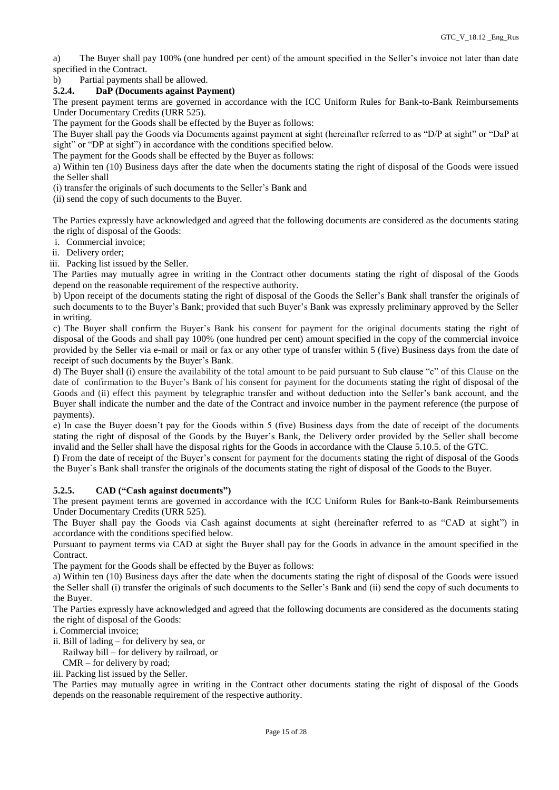a) The Buyer shall pay 100% (one hundred per cent) of the amount specified in the Seller's invoice not later than date specified in the Contract.

b) Partial payments shall be allowed.

## **5.2.4. DaP (Documents against Payment)**

The present payment terms are governed in accordance with the ICC Uniform Rules for Bank-to-Bank Reimbursements Under Documentary Credits (URR 525).

The payment for the Goods shall be effected by the Buyer as follows:

The Buyer shall pay the Goods via Documents against payment at sight (hereinafter referred to as "D/P at sight" or "DaP at sight" or "DP at sight") in accordance with the conditions specified below.

The payment for the Goods shall be effected by the Buyer as follows:

a) Within ten (10) Business days after the date when the documents stating the right of disposal of the Goods were issued the Seller shall

(i) transfer the originals of such documents to the Seller's Bank and

(ii) send the copy of such documents to the Buyer.

The Parties expressly have acknowledged and agreed that the following documents are considered as the documents stating the right of disposal of the Goods:

i. Commercial invoice;

ii. Delivery order;

iii. Packing list issued by the Seller.

The Parties may mutually agree in writing in the Contract other documents stating the right of disposal of the Goods depend on the reasonable requirement of the respective authority.

b) Upon receipt of the documents stating the right of disposal of the Goods the Seller's Bank shall transfer the originals of such documents to to the Buyer's Bank; provided that such Buyer's Bank was expressly preliminary approved by the Seller in writing.

c) The Buyer shall confirm the Buyer's Bank his consent for payment for the original documents stating the right of disposal of the Goods and shall pay 100% (one hundred per cent) amount specified in the copy of the commercial invoice provided by the Seller via e-mail or mail or fax or any other type of transfer within 5 (five) Business days from the date of receipt of such documents by the Buyer's Bank.

d) The Buyer shall (i) ensure the availability of the total amount to be paid pursuant to Sub clause "c" of this Clause on the date of confirmation to the Buyer's Bank of his consent for payment for the documents stating the right of disposal of the Goods and (ii) effect this payment by telegraphic transfer and without deduction into the Seller's bank account, and the Buyer shall indicate the number and the date of the Contract and invoice number in the payment reference (the purpose of payments).

e) In case the Buyer doesn't pay for the Goods within 5 (five) Business days from the date of receipt of the documents stating the right of disposal of the Goods by the Buyer's Bank, the Delivery order provided by the Seller shall become invalid and the Seller shall have the disposal rights for the Goods in accordance with the Clause 5.10.5. of the GTC.

f) From the date of receipt of the Buyer's consent for payment for the documents stating the right of disposal of the Goods the Buyer`s Bank shall transfer the originals of the documents stating the right of disposal of the Goods to the Buyer.

# **5.2.5. CAD ("Cash against documents")**

The present payment terms are governed in accordance with the ICC Uniform Rules for Bank-to-Bank Reimbursements Under Documentary Credits (URR 525).

The Buyer shall pay the Goods via Cash against documents at sight (hereinafter referred to as "CAD at sight") in accordance with the conditions specified below.

Pursuant to payment terms via CAD at sight the Buyer shall pay for the Goods in advance in the amount specified in the Contract.

The payment for the Goods shall be effected by the Buyer as follows:

a) Within ten (10) Business days after the date when the documents stating the right of disposal of the Goods were issued the Seller shall (i) transfer the originals of such documents to the Seller's Bank and (ii) send the copy of such documents to the Buyer.

The Parties expressly have acknowledged and agreed that the following documents are considered as the documents stating the right of disposal of the Goods:

i. Commercial invoice;

ii. Bill of lading – for delivery by sea, or

Railway bill – for delivery by railroad, or

CMR – for delivery by road;

iii. Packing list issued by the Seller.

The Parties may mutually agree in writing in the Contract other documents stating the right of disposal of the Goods depends on the reasonable requirement of the respective authority.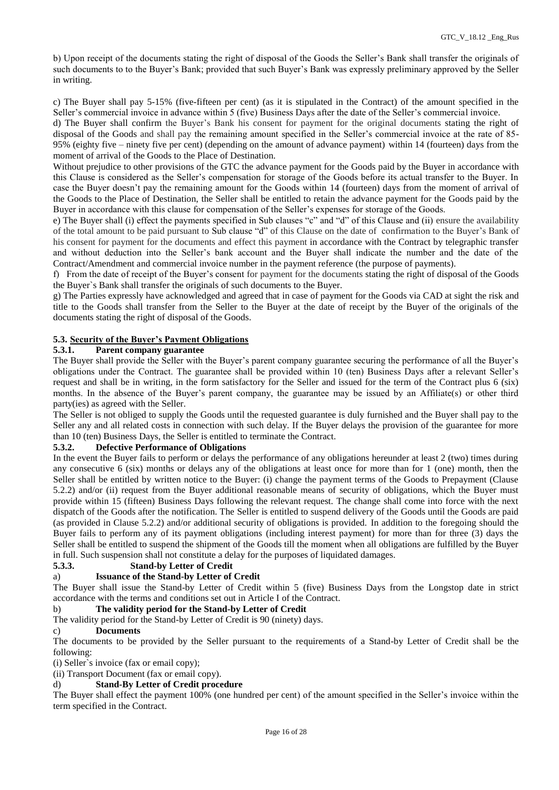b) Upon receipt of the documents stating the right of disposal of the Goods the Seller's Bank shall transfer the originals of such documents to to the Buyer's Bank; provided that such Buyer's Bank was expressly preliminary approved by the Seller in writing.

c) The Buyer shall pay 5-15% (five-fifteen per cent) (as it is stipulated in the Contract) of the amount specified in the Seller's commercial invoice in advance within 5 (five) Business Days after the date of the Seller's commercial invoice.

d) The Buyer shall confirm the Buyer's Bank his consent for payment for the original documents stating the right of disposal of the Goods and shall pay the remaining amount specified in the Seller's commercial invoice at the rate of 85- 95% (eighty five – ninety five per cent) (depending on the amount of advance payment) within 14 (fourteen) days from the moment of arrival of the Goods to the Place of Destination.

Without prejudice to other provisions of the GTC the advance payment for the Goods paid by the Buyer in accordance with this Clause is considered as the Seller's compensation for storage of the Goods before its actual transfer to the Buyer. In case the Buyer doesn't pay the remaining amount for the Goods within 14 (fourteen) days from the moment of arrival of the Goods to the Place of Destination, the Seller shall be entitled to retain the advance payment for the Goods paid by the Buyer in accordance with this clause for compensation of the Seller's expenses for storage of the Goods.

e) The Buyer shall (i) effect the payments specified in Sub clauses "c" and "d" of this Clause and (ii) ensure the availability of the total amount to be paid pursuant to Sub clause "d" of this Clause on the date of confirmation to the Buyer's Bank of his consent for payment for the documents and effect this payment in accordance with the Contract by telegraphic transfer and without deduction into the Seller's bank account and the Buyer shall indicate the number and the date of the Contract/Amendment and commercial invoice number in the payment reference (the purpose of payments).

f) From the date of receipt of the Buyer's consent for payment for the documents stating the right of disposal of the Goods the Buyer`s Bank shall transfer the originals of such documents to the Buyer.

g) The Parties expressly have acknowledged and agreed that in case of payment for the Goods via CAD at sight the risk and title to the Goods shall transfer from the Seller to the Buyer at the date of receipt by the Buyer of the originals of the documents stating the right of disposal of the Goods.

# **5.3. Security of the Buyer's Payment Obligations**

#### **5.3.1. Parent company guarantee**

The Buyer shall provide the Seller with the Buyer's parent company guarantee securing the performance of all the Buyer's obligations under the Contract. The guarantee shall be provided within 10 (ten) Business Days after a relevant Seller's request and shall be in writing, in the form satisfactory for the Seller and issued for the term of the Contract plus 6 (six) months. In the absence of the Buyer's parent company, the guarantee may be issued by an Affiliate(s) or other third party(ies) as agreed with the Seller.

The Seller is not obliged to supply the Goods until the requested guarantee is duly furnished and the Buyer shall pay to the Seller any and all related costs in connection with such delay. If the Buyer delays the provision of the guarantee for more than 10 (ten) Business Days, the Seller is entitled to terminate the Contract.

#### **5.3.2. Defective Performance of Obligations**

In the event the Buyer fails to perform or delays the performance of any obligations hereunder at least 2 (two) times during any consecutive 6 (six) months or delays any of the obligations at least once for more than for 1 (one) month, then the Seller shall be entitled by written notice to the Buyer: (i) change the payment terms of the Goods to Prepayment (Clause 5.2.2) and/or (ii) request from the Buyer additional reasonable means of security of obligations, which the Buyer must provide within 15 (fifteen) Business Days following the relevant request. The change shall come into force with the next dispatch of the Goods after the notification. The Seller is entitled to suspend delivery of the Goods until the Goods are paid (as provided in Clause 5.2.2) and/or additional security of obligations is provided. In addition to the foregoing should the Buyer fails to perform any of its payment obligations (including interest payment) for more than for three (3) days the Seller shall be entitled to suspend the shipment of the Goods till the moment when all obligations are fulfilled by the Buyer in full. Such suspension shall not constitute a delay for the purposes of liquidated damages.

# **5.3.3. Stand-by Letter of Credit**

# a) **Issuance of the Stand-by Letter of Credit**

The Buyer shall issue the Stand-by Letter of Credit within 5 (five) Business Days from the Longstop date in strict accordance with the terms and conditions set out in Article I of the Contract.

#### b) **The validity period for the Stand-by Letter of Credit**

The validity period for the Stand-by Letter of Credit is 90 (ninety) days.

#### c) **Documents**

The documents to be provided by the Seller pursuant to the requirements of a Stand-by Letter of Credit shall be the following:

(i) Seller`s invoice (fax or email copy);

(ii) Transport Document (fax or email copy).

#### d) **Stand-By Letter of Credit procedure**

The Buyer shall effect the payment 100% (one hundred per cent) of the amount specified in the Seller's invoice within the term specified in the Contract.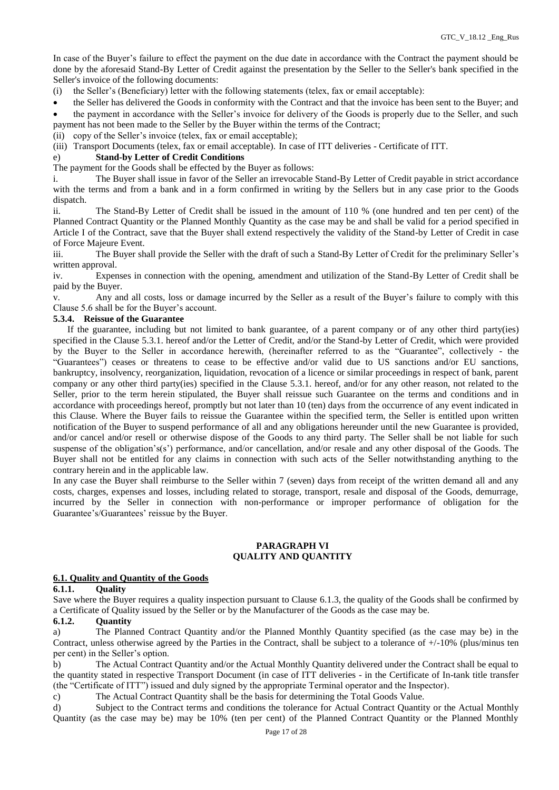In case of the Buyer's failure to effect the payment on the due date in accordance with the Contract the payment should be done by the aforesaid Stand-By Letter of Credit against the presentation by the Seller to the Seller's bank specified in the Seller's invoice of the following documents:

(i) the Seller's (Beneficiary) letter with the following statements (telex, fax or email acceptable):

the Seller has delivered the Goods in conformity with the Contract and that the invoice has been sent to the Buyer; and

 the payment in accordance with the Seller's invoice for delivery of the Goods is properly due to the Seller, and such payment has not been made to the Seller by the Buyer within the terms of the Contract;

(ii) copy of the Seller's invoice (telex, fax or email acceptable);

(iii) Transport Documents (telex, fax or email acceptable). In case of ITT deliveries - Certificate of ITT.

## e) **Stand-by Letter of Credit Conditions**

The payment for the Goods shall be effected by the Buyer as follows:

i. The Buyer shall issue in favor of the Seller an irrevocable Stand-By Letter of Credit payable in strict accordance with the terms and from a bank and in a form confirmed in writing by the Sellers but in any case prior to the Goods dispatch.

ii. The Stand-By Letter of Credit shall be issued in the amount of 110 % (one hundred and ten per cent) of the Planned Contract Quantity or the Planned Monthly Quantity as the case may be and shall be valid for a period specified in Article I of the Contract, save that the Buyer shall extend respectively the validity of the Stand-by Letter of Credit in case of Force Majeure Event.

iii. The Buyer shall provide the Seller with the draft of such a Stand-By Letter of Credit for the preliminary Seller's written approval.

iv. Expenses in connection with the opening, amendment and utilization of the Stand-By Letter of Credit shall be paid by the Buyer.

v. Any and all costs, loss or damage incurred by the Seller as a result of the Buyer's failure to comply with this Clause 5.6 shall be for the Buyer's account.

## **5.3.4. Reissue of the Guarantee**

 If the guarantee, including but not limited to bank guarantee, of a parent company or of any other third party(ies) specified in the Clause 5.3.1. hereof and/or the Letter of Credit, and/or the Stand-by Letter of Credit, which were provided by the Buyer to the Seller in accordance herewith, (hereinafter referred to as the "Guarantee", collectively - the "Guarantees") ceases or threatens to cease to be effective and/or valid due to US sanctions and/or EU sanctions, bankruptcy, insolvency, reorganization, liquidation, revocation of a licence or similar proceedings in respect of bank, parent company or any other third party(ies) specified in the Clause 5.3.1. hereof, and/or for any other reason, not related to the Seller, prior to the term herein stipulated, the Buyer shall reissue such Guarantee on the terms and conditions and in accordance with proceedings hereof, promptly but not later than 10 (ten) days from the occurrence of any event indicated in this Clause. Where the Buyer fails to reissue the Guarantee within the specified term, the Seller is entitled upon written notification of the Buyer to suspend performance of all and any obligations hereunder until the new Guarantee is provided, and/or cancel and/or resell or otherwise dispose of the Goods to any third party. The Seller shall be not liable for such suspense of the obligation's(s') performance, and/or cancellation, and/or resale and any other disposal of the Goods. The Buyer shall not be entitled for any claims in connection with such acts of the Seller notwithstanding anything to the contrary herein and in the applicable law.

In any case the Buyer shall reimburse to the Seller within 7 (seven) days from receipt of the written demand all and any costs, charges, expenses and losses, including related to storage, transport, resale and disposal of the Goods, demurrage, incurred by the Seller in connection with non-performance or improper performance of obligation for the Guarantee's/Guarantees' reissue by the Buyer.

#### **PARAGRAPH VI QUALITY AND QUANTITY**

# **6.1. Quality and Quantity of the Goods**

#### **6.1.1. Quality**

Save where the Buyer requires a quality inspection pursuant to Clause 6.1.3, the quality of the Goods shall be confirmed by a Certificate of Quality issued by the Seller or by the Manufacturer of the Goods as the case may be.

# **6.1.2. Quantity**

a) The Planned Contract Quantity and/or the Planned Monthly Quantity specified (as the case may be) in the Contract, unless otherwise agreed by the Parties in the Contract, shall be subject to a tolerance of +/-10% (plus/minus ten per cent) in the Seller's option.

b) The Actual Contract Quantity and/or the Actual Monthly Quantity delivered under the Contract shall be equal to the quantity stated in respective Transport Document (in case of ITT deliveries - in the Certificate of In-tank title transfer (the "Certificate of ITT") issued and duly signed by the appropriate Terminal operator and the Inspector).

c) The Actual Contract Quantity shall be the basis for determining the Total Goods Value.

d) Subject to the Contract terms and conditions the tolerance for Actual Contract Quantity or the Actual Monthly Quantity (as the case may be) may be 10% (ten per cent) of the Planned Contract Quantity or the Planned Monthly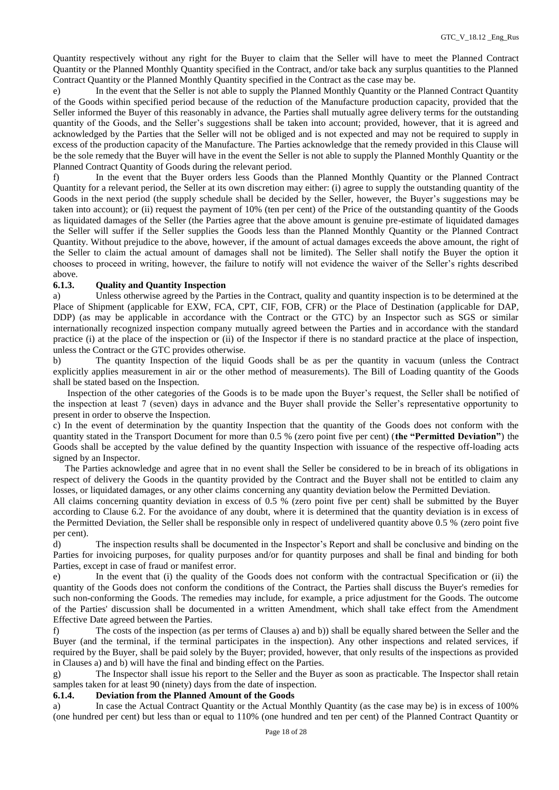Quantity respectively without any right for the Buyer to claim that the Seller will have to meet the Planned Contract Quantity or the Planned Monthly Quantity specified in the Contract, and/or take back any surplus quantities to the Planned Contract Quantity or the Planned Monthly Quantity specified in the Contract as the case may be.

e) In the event that the Seller is not able to supply the Planned Monthly Quantity or the Planned Contract Quantity of the Goods within specified period because of the reduction of the Manufacture production capacity, provided that the Seller informed the Buyer of this reasonably in advance, the Parties shall mutually agree delivery terms for the outstanding quantity of the Goods, and the Seller's suggestions shall be taken into account; provided, however, that it is agreed and acknowledged by the Parties that the Seller will not be obliged and is not expected and may not be required to supply in excess of the production capacity of the Manufacture. The Parties acknowledge that the remedy provided in this Clause will be the sole remedy that the Buyer will have in the event the Seller is not able to supply the Planned Monthly Quantity or the Planned Contract Quantity of Goods during the relevant period.

f) In the event that the Buyer orders less Goods than the Planned Monthly Quantity or the Planned Contract Quantity for a relevant period, the Seller at its own discretion may either: (i) agree to supply the outstanding quantity of the Goods in the next period (the supply schedule shall be decided by the Seller, however, the Buyer's suggestions may be taken into account); or (ii) request the payment of 10% (ten per cent) of the Price of the outstanding quantity of the Goods as liquidated damages of the Seller (the Parties agree that the above amount is genuine pre-estimate of liquidated damages the Seller will suffer if the Seller supplies the Goods less than the Planned Monthly Quantity or the Planned Contract Quantity. Without prejudice to the above, however, if the amount of actual damages exceeds the above amount, the right of the Seller to claim the actual amount of damages shall not be limited). The Seller shall notify the Buyer the option it chooses to proceed in writing, however, the failure to notify will not evidence the waiver of the Seller's rights described

## above.<br>**6.1.3. 6.1.3. Quality and Quantity Inspection**

a) Unless otherwise agreed by the Parties in the Contract, quality and quantity inspection is to be determined at the Place of Shipment (applicable for EXW, FCA, CPT, CIF, FOB, CFR) or the Place of Destination (applicable for DAP, DDP) (as may be applicable in accordance with the Contract or the GTC) by an Inspector such as SGS or similar internationally recognized inspection company mutually agreed between the Parties and in accordance with the standard practice (i) at the place of the inspection or (ii) of the Inspector if there is no standard practice at the place of inspection, unless the Contract or the GTC provides otherwise.

b) The quantity Inspection of the liquid Goods shall be as per the quantity in vacuum (unless the Contract explicitly applies measurement in air or the other method of measurements). The Bill of Loading quantity of the Goods shall be stated based on the Inspection.

 Inspection of the other categories of the Goods is to be made upon the Buyer's request, the Seller shall be notified of the inspection at least 7 (seven) days in advance and the Buyer shall provide the Seller's representative opportunity to present in order to observe the Inspection.

c) In the event of determination by the quantity Inspection that the quantity of the Goods does not conform with the quantity stated in the Transport Document for more than 0.5 % (zero point five per cent) (**the "Permitted Deviation"**) the Goods shall be accepted by the value defined by the quantity Inspection with issuance of the respective off-loading acts signed by an Inspector.

 The Parties acknowledge and agree that in no event shall the Seller be considered to be in breach of its obligations in respect of delivery the Goods in the quantity provided by the Contract and the Buyer shall not be entitled to claim any losses, or liquidated damages, or any other claims concerning any quantity deviation below the Permitted Deviation.

All claims concerning quantity deviation in excess of 0.5 % (zero point five per cent) shall be submitted by the Buyer according to Clause 6.2. For the avoidance of any doubt, where it is determined that the quantity deviation is in excess of the Permitted Deviation, the Seller shall be responsible only in respect of undelivered quantity above 0.5 % (zero point five per cent).

d) The inspection results shall be documented in the Inspector's Report and shall be conclusive and binding on the Parties for invoicing purposes, for quality purposes and/or for quantity purposes and shall be final and binding for both Parties, except in case of fraud or manifest error.

e) In the event that (i) the quality of the Goods does not conform with the contractual Specification or (ii) the quantity of the Goods does not conform the conditions of the Contract, the Parties shall discuss the Buyer's remedies for such non-conforming the Goods. The remedies may include, for example, a price adjustment for the Goods. The outcome of the Parties' discussion shall be documented in a written Amendment, which shall take effect from the Amendment Effective Date agreed between the Parties.

f) The costs of the inspection (as per terms of Clauses a) and b)) shall be equally shared between the Seller and the Buyer (and the terminal, if the terminal participates in the inspection). Any other inspections and related services, if required by the Buyer, shall be paid solely by the Buyer; provided, however, that only results of the inspections as provided in Clauses a) and b) will have the final and binding effect on the Parties.

g) The Inspector shall issue his report to the Seller and the Buyer as soon as practicable. The Inspector shall retain samples taken for at least 90 (ninety) days from the date of inspection.

#### **6.1.4. Deviation from the Planned Amount of the Goods**

a) In case the Actual Contract Quantity or the Actual Monthly Quantity (as the case may be) is in excess of 100% (one hundred per cent) but less than or equal to 110% (one hundred and ten per cent) of the Planned Contract Quantity or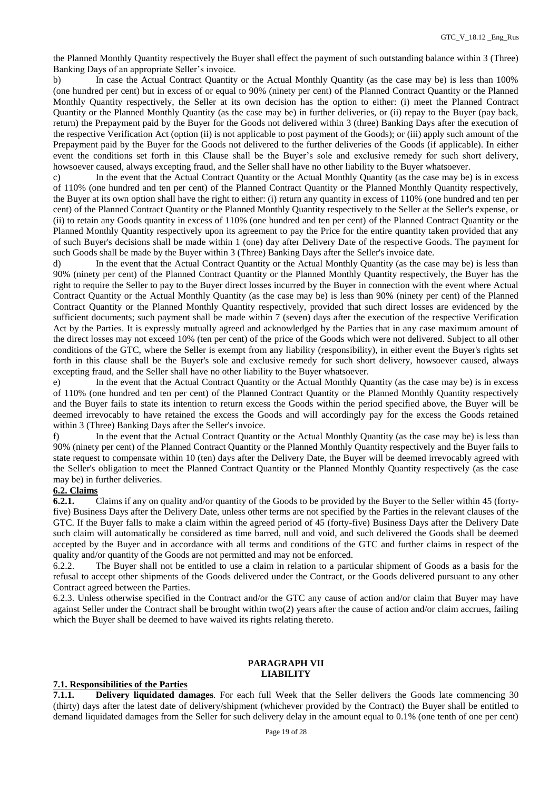the Planned Monthly Quantity respectively the Buyer shall effect the payment of such outstanding balance within 3 (Three) Banking Days of an appropriate Seller's invoice.

b) In case the Actual Contract Quantity or the Actual Monthly Quantity (as the case may be) is less than 100% (one hundred per cent) but in excess of or equal to 90% (ninety per cent) of the Planned Contract Quantity or the Planned Monthly Quantity respectively, the Seller at its own decision has the option to either: (i) meet the Planned Contract Quantity or the Planned Monthly Quantity (as the case may be) in further deliveries, or (ii) repay to the Buyer (pay back, return) the Prepayment paid by the Buyer for the Goods not delivered within 3 (three) Banking Days after the execution of the respective Verification Act (option (ii) is not applicable to post payment of the Goods); or (iii) apply such amount of the Prepayment paid by the Buyer for the Goods not delivered to the further deliveries of the Goods (if applicable). In either event the conditions set forth in this Сlause shall be the Buyer's sole and exclusive remedy for such short delivery, howsoever caused, always excepting fraud, and the Seller shall have no other liability to the Buyer whatsoever.

c) In the event that the Actual Contract Quantity or the Actual Monthly Quantity (as the case may be) is in excess of 110% (one hundred and ten per cent) of the Planned Contract Quantity or the Planned Monthly Quantity respectively, the Buyer at its own option shall have the right to either: (i) return any quantity in excess of 110% (one hundred and ten per cent) of the Planned Contract Quantity or the Planned Monthly Quantity respectively to the Seller at the Seller's expense, or (ii) to retain any Goods quantity in excess of 110% (one hundred and ten per cent) of the Planned Contract Quantity or the Planned Monthly Quantity respectively upon its agreement to pay the Price for the entire quantity taken provided that any of such Buyer's decisions shall be made within 1 (one) day after Delivery Date of the respective Goods. The payment for such Goods shall be made by the Buyer within 3 (Three) Banking Days after the Seller's invoice date.

d) In the event that the Actual Contract Quantity or the Actual Monthly Quantity (as the case may be) is less than 90% (ninety per cent) of the Planned Contract Quantity or the Planned Monthly Quantity respectively, the Buyer has the right to require the Seller to pay to the Buyer direct losses incurred by the Buyer in connection with the event where Actual Contract Quantity or the Actual Monthly Quantity (as the case may be) is less than 90% (ninety per cent) of the Planned Contract Quantity or the Planned Monthly Quantity respectively, provided that such direct losses are evidenced by the sufficient documents; such payment shall be made within 7 (seven) days after the execution of the respective Verification Act by the Parties. It is expressly mutually agreed and acknowledged by the Parties that in any case maximum amount of the direct losses may not exceed 10% (ten per cent) of the price of the Goods which were not delivered. Subject to all other conditions of the GTC, where the Seller is exempt from any liability (responsibility), in either event the Buyer's rights set forth in this clause shall be the Buyer's sole and exclusive remedy for such short delivery, howsoever caused, always excepting fraud, and the Seller shall have no other liability to the Buyer whatsoever.

e) In the event that the Actual Contract Quantity or the Actual Monthly Quantity (as the case may be) is in excess of 110% (one hundred and ten per cent) of the Planned Contract Quantity or the Planned Monthly Quantity respectively and the Buyer fails to state its intention to return excess the Goods within the period specified above, the Buyer will be deemed irrevocably to have retained the excess the Goods and will accordingly pay for the excess the Goods retained within 3 (Three) Banking Days after the Seller's invoice.

f) In the event that the Actual Contract Quantity or the Actual Monthly Quantity (as the case may be) is less than 90% (ninety per cent) of the Planned Contract Quantity or the Planned Monthly Quantity respectively and the Buyer fails to state request to compensate within 10 (ten) days after the Delivery Date, the Buyer will be deemed irrevocably agreed with the Seller's obligation to meet the Planned Contract Quantity or the Planned Monthly Quantity respectively (as the case may be) in further deliveries.

# **6.2. Claims**

**6.2.1.** Claims if any on quality and/or quantity of the Goods to be provided by the Buyer to the Seller within 45 (fortyfive) Business Days after the Delivery Date, unless other terms are not specified by the Parties in the relevant clauses of the GTC. If the Buyer falls to make a claim within the agreed period of 45 (forty-five) Business Days after the Delivery Date such claim will automatically be considered as time barred, null and void, and such delivered the Goods shall be deemed accepted by the Buyer and in accordance with all terms and conditions of the GTC and further claims in respect of the quality and/or quantity of the Goods are not permitted and may not be enforced.

6.2.2. The Buyer shall not be entitled to use a claim in relation to a particular shipment of Goods as a basis for the refusal to accept other shipments of the Goods delivered under the Contract, or the Goods delivered pursuant to any other Contract agreed between the Parties.

6.2.3. Unless otherwise specified in the Contract and/or the GTC any cause of action and/or claim that Buyer may have against Seller under the Contract shall be brought within two(2) years after the cause of action and/or claim accrues, failing which the Buyer shall be deemed to have waived its rights relating thereto.

## **PARAGRAPH VII LIABILITY**

## **7.1. Responsibilities of the Parties**

**7.1.1. Delivery liquidated damages**. For each full Week that the Seller delivers the Goods late commencing 30 (thirty) days after the latest date of delivery/shipment (whichever provided by the Contract) the Buyer shall be entitled to demand liquidated damages from the Seller for such delivery delay in the amount equal to 0.1% (one tenth of one per cent)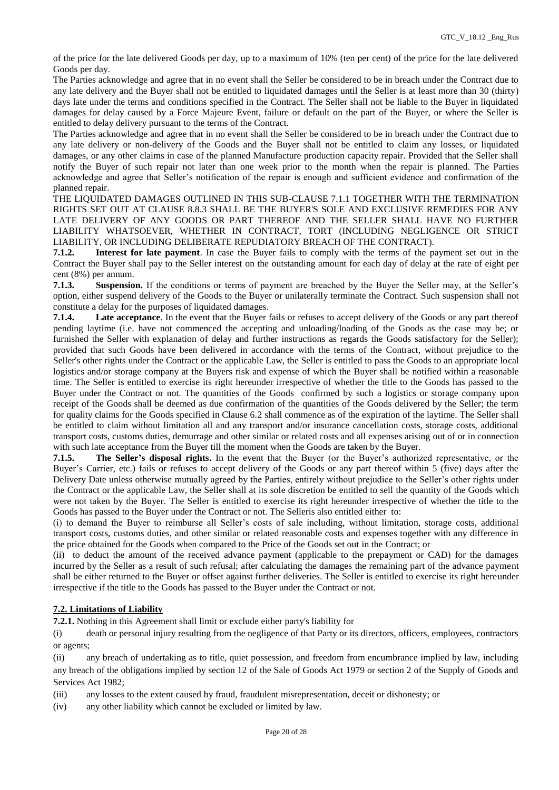of the price for the late delivered Goods per day, up to a maximum of 10% (ten per cent) of the price for the late delivered Goods per day.

The Parties acknowledge and agree that in no event shall the Seller be considered to be in breach under the Contract due to any late delivery and the Buyer shall not be entitled to liquidated damages until the Seller is at least more than 30 (thirty) days late under the terms and conditions specified in the Contract. The Seller shall not be liable to the Buyer in liquidated damages for delay caused by a Force Majeure Event, failure or default on the part of the Buyer, or where the Seller is entitled to delay delivery pursuant to the terms of the Contract.

The Parties acknowledge and agree that in no event shall the Seller be considered to be in breach under the Contract due to any late delivery or non-delivery of the Goods and the Buyer shall not be entitled to claim any losses, or liquidated damages, or any other claims in case of the planned Manufacture production capacity repair. Provided that the Seller shall notify the Buyer of such repair not later than one week prior to the month when the repair is planned. The Parties acknowledge and agree that Seller's notification of the repair is enough and sufficient evidence and confirmation of the planned repair.

THE LIQUIDATED DAMAGES OUTLINED IN THIS SUB-CLAUSE 7.1.1 TOGETHER WITH THE TERMINATION RIGHTS SET OUT AT CLAUSE 8.8.3 SHALL BE THE BUYER'S SOLE AND EXCLUSIVE REMEDIES FOR ANY LATE DELIVERY OF ANY GOODS OR PART THEREOF AND THE SELLER SHALL HAVE NO FURTHER LIABILITY WHATSOEVER, WHETHER IN CONTRACT, TORT (INCLUDING NEGLIGENCE OR STRICT LIABILITY, OR INCLUDING DELIBERATE REPUDIATORY BREACH OF THE CONTRACT).

**7.1.2. Interest for late payment**. In case the Buyer fails to comply with the terms of the payment set out in the Contract the Buyer shall pay to the Seller interest on the outstanding amount for each day of delay at the rate of eight per cent (8%) per annum.

**7.1.3. Suspension.** If the conditions or terms of payment are breached by the Buyer the Seller may, at the Seller's option, either suspend delivery of the Goods to the Buyer or unilaterally terminate the Contract. Such suspension shall not constitute a delay for the purposes of liquidated damages.

**7.1.4. Late acceptance**. In the event that the Buyer fails or refuses to accept delivery of the Goods or any part thereof pending laytime (i.e. have not commenced the accepting and unloading/loading of the Goods as the case may be; or furnished the Seller with explanation of delay and further instructions as regards the Goods satisfactory for the Seller); provided that such Goods have been delivered in accordance with the terms of the Contract, without prejudice to the Seller's other rights under the Contract or the applicable Law, the Seller is entitled to pass the Goods to an appropriate local logistics and/or storage company at the Buyers risk and expense of which the Buyer shall be notified within a reasonable time. The Seller is entitled to exercise its right hereunder irrespective of whether the title to the Goods has passed to the Buyer under the Contract or not. The quantities of the Goods confirmed by such a logistics or storage company upon receipt of the Goods shall be deemed as due confirmation of the quantities of the Goods delivered by the Seller; the term for quality claims for the Goods specified in Clause 6.2 shall commence as of the expiration of the laytime. The Seller shall be entitled to claim without limitation all and any transport and/or insurance cancellation costs, storage costs, additional transport costs, customs duties, demurrage and other similar or related costs and all expenses arising out of or in connection with such late acceptance from the Buyer till the moment when the Goods are taken by the Buyer.

**7.1.5. The Seller's disposal rights.** In the event that the Buyer (or the Buyer's authorized representative, or the Buyer's Carrier, etc.) fails or refuses to accept delivery of the Goods or any part thereof within 5 (five) days after the Delivery Date unless otherwise mutually agreed by the Parties, entirely without prejudice to the Seller's other rights under the Contract or the applicable Law, the Seller shall at its sole discretion be entitled to sell the quantity of the Goods which were not taken by the Buyer. The Seller is entitled to exercise its right hereunder irrespective of whether the title to the Goods has passed to the Buyer under the Contract or not. The Selleris also entitled either to:

(i) to demand the Buyer to reimburse all Seller's costs of sale including, without limitation, storage costs, additional transport costs, customs duties, and other similar or related reasonable costs and expenses together with any difference in the price obtained for the Goods when compared to the Price of the Goods set out in the Contract; or

(ii) to deduct the amount of the received advance payment (applicable to the prepayment or CAD) for the damages incurred by the Seller as a result of such refusal; after calculating the damages the remaining part of the advance payment shall be either returned to the Buyer or offset against further deliveries. The Seller is entitled to exercise its right hereunder irrespective if the title to the Goods has passed to the Buyer under the Contract or not.

# **7.2. Limitations of Liability**

**7.2.1.** Nothing in this Agreement shall limit or exclude either party's liability for

(i) death or personal injury resulting from the negligence of that Party or its directors, officers, employees, contractors or agents;

(ii) any breach of undertaking as to title, quiet possession, and freedom from encumbrance implied by law, including any breach of the obligations implied by section 12 of the Sale of Goods Act 1979 or section 2 of the Supply of Goods and Services Act 1982;

(iii) any losses to the extent caused by fraud, fraudulent misrepresentation, deceit or dishonesty; or

(iv) any other liability which cannot be excluded or limited by law.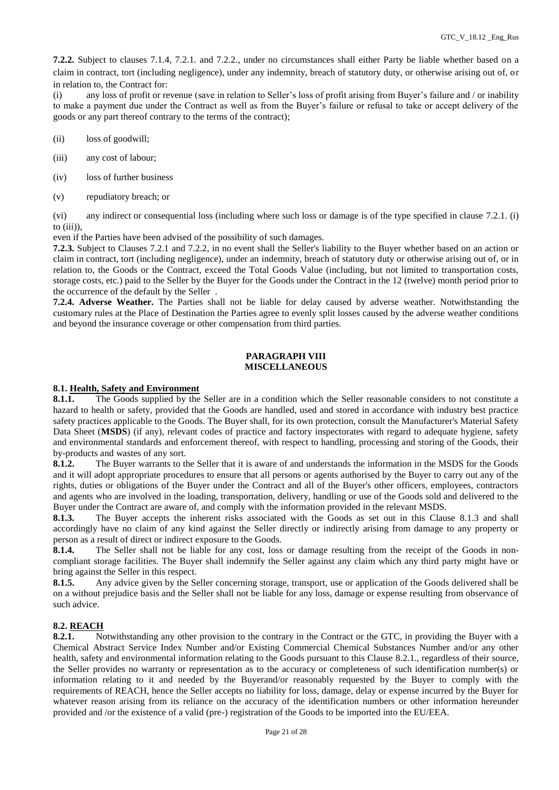**7.2.2.** Subject to clauses 7.1.4, 7.2.1. and 7.2.2., under no circumstances shall either Party be liable whether based on a claim in contract, tort (including negligence), under any indemnity, breach of statutory duty, or otherwise arising out of, or in relation to, the Contract for:

(i) any loss of profit or revenue (save in relation to Seller's loss of profit arising from Buyer's failure and / or inability to make a payment due under the Contract as well as from the Buyer's failure or refusal to take or accept delivery of the goods or any part thereof contrary to the terms of the contract);

- (ii) loss of goodwill;
- (iii) any cost of labour;
- (iv) loss of further business
- (v) repudiatory breach; or

(vi) any indirect or consequential loss (including where such loss or damage is of the type specified in clause 7.2.1. (i) to (iii)),

even if the Parties have been advised of the possibility of such damages.

**7.2.3.** Subject to Clauses 7.2.1 and 7.2.2, in no event shall the Seller's liability to the Buyer whether based on an action or claim in contract, tort (including negligence), under an indemnity, breach of statutory duty or otherwise arising out of, or in relation to, the Goods or the Contract, exceed the Total Goods Value (including, but not limited to transportation costs, storage costs, etc.) paid to the Seller by the Buyer for the Goods under the Contract in the 12 (twelve) month period prior to the occurrence of the default by the Seller .

**7.2.4. Adverse Weather.** The Parties shall not be liable for delay caused by adverse weather. Notwithstanding the customary rules at the Place of Destination the Parties agree to evenly split losses caused by the adverse weather conditions and beyond the insurance coverage or other compensation from third parties.

# **PARAGRAPH VIII MISCELLANEOUS**

## **8.1. Health, Safety and Environment**

8.1.1. The Goods supplied by the Seller are in a condition which the Seller reasonable considers to not constitute a hazard to health or safety, provided that the Goods are handled, used and stored in accordance with industry best practice safety practices applicable to the Goods. The Buyer shall, for its own protection, consult the Manufacturer's Material Safety Data Sheet (**MSDS**) (if any), relevant codes of practice and factory inspectorates with regard to adequate hygiene, safety and environmental standards and enforcement thereof, with respect to handling, processing and storing of the Goods, their by-products and wastes of any sort.

**8.1.2.** The Buyer warrants to the Seller that it is aware of and understands the information in the MSDS for the Goods and it will adopt appropriate procedures to ensure that all persons or agents authorised by the Buyer to carry out any of the rights, duties or obligations of the Buyer under the Contract and all of the Buyer's other officers, employees, contractors and agents who are involved in the loading, transportation, delivery, handling or use of the Goods sold and delivered to the Buyer under the Contract are aware of, and comply with the information provided in the relevant MSDS.

**8.1.3.** The Buyer accepts the inherent risks associated with the Goods as set out in this Clause 8.1.3 and shall accordingly have no claim of any kind against the Seller directly or indirectly arising from damage to any property or person as a result of direct or indirect exposure to the Goods.

**8.1.4.** The Seller shall not be liable for any cost, loss or damage resulting from the receipt of the Goods in noncompliant storage facilities. The Buyer shall indemnify the Seller against any claim which any third party might have or bring against the Seller in this respect.

**8.1.5.** Any advice given by the Seller concerning storage, transport, use or application of the Goods delivered shall be on a without prejudice basis and the Seller shall not be liable for any loss, damage or expense resulting from observance of such advice.

# **8.2. REACH**<br>**8.2.1.** No

Notwithstanding any other provision to the contrary in the Contract or the GTC, in providing the Buyer with a Chemical Abstract Service Index Number and/or Existing Commercial Chemical Substances Number and/or any other health, safety and environmental information relating to the Goods pursuant to this Clause 8.2.1., regardless of their source, the Seller provides no warranty or representation as to the accuracy or completeness of such identification number(s) or information relating to it and needed by the Buyerand/or reasonably requested by the Buyer to comply with the requirements of REACH, hence the Seller accepts no liability for loss, damage, delay or expense incurred by the Buyer for whatever reason arising from its reliance on the accuracy of the identification numbers or other information hereunder provided and /or the existence of a valid (pre-) registration of the Goods to be imported into the EU/EEA.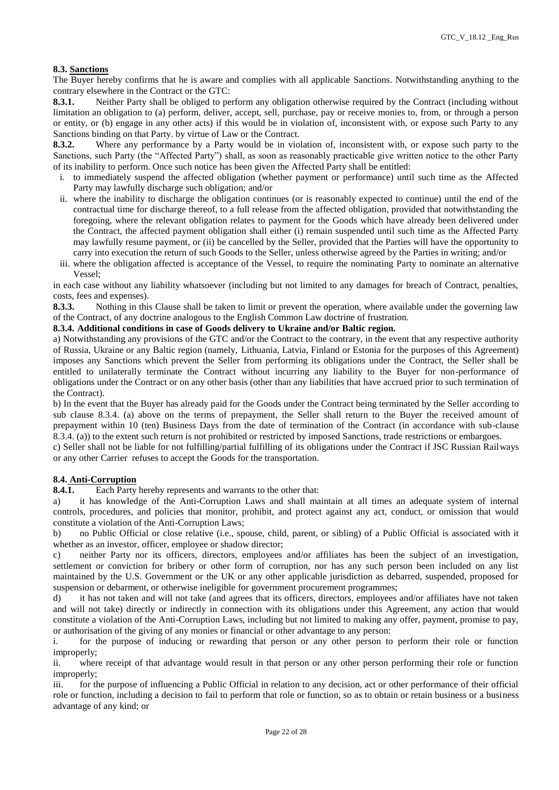## **8.3. Sanctions**

The Buyer hereby confirms that he is aware and complies with all applicable Sanctions. Notwithstanding anything to the contrary elsewhere in the Contract or the GTC:

**8.3.1.** Neither Party shall be obliged to perform any obligation otherwise required by the Contract (including without limitation an obligation to (a) perform, deliver, accept, sell, purchase, pay or receive monies to, from, or through a person or entity, or (b) engage in any other acts) if this would be in violation of, inconsistent with, or expose such Party to any Sanctions binding on that Party. by virtue of Law or the Contract.

**8.3.2.** Where any performance by a Party would be in violation of, inconsistent with, or expose such party to the Sanctions, such Party (the "Affected Party") shall, as soon as reasonably practicable give written notice to the other Party of its inability to perform. Once such notice has been given the Affected Party shall be entitled:

- i. to immediately suspend the affected obligation (whether payment or performance) until such time as the Affected Party may lawfully discharge such obligation; and/or
- ii. where the inability to discharge the obligation continues (or is reasonably expected to continue) until the end of the contractual time for discharge thereof, to a full release from the affected obligation, provided that notwithstanding the foregoing, where the relevant obligation relates to payment for the Goods which have already been delivered under the Contract, the affected payment obligation shall either (i) remain suspended until such time as the Affected Party may lawfully resume payment, or (ii) be cancelled by the Seller, provided that the Parties will have the opportunity to carry into execution the return of such Goods to the Seller, unless otherwise agreed by the Parties in writing; and/or
- iii. where the obligation affected is acceptance of the Vessel, to require the nominating Party to nominate an alternative Vessel;

in each case without any liability whatsoever (including but not limited to any damages for breach of Contract, penalties, costs, fees and expenses).

**8.3.3.** Nothing in this Clause shall be taken to limit or prevent the operation, where available under the governing law of the Contract, of any doctrine analogous to the English Common Law doctrine of frustration.

#### **8.3.4. Additional conditions in case of Goods delivery to Ukraine and/or Baltic region.**

a) Notwithstanding any provisions of the GTC and/or the Contract to the contrary, in the event that any respective authority of Russia, Ukraine or any Baltic region (namely, Lithuania, Latvia, Finland or Estonia for the purposes of this Agreement) imposes any Sanctions which prevent the Seller from performing its obligations under the Contract, the Seller shall be entitled to unilaterally terminate the Contract without incurring any liability to the Buyer for non-performance of obligations under the Contract or on any other basis (other than any liabilities that have accrued prior to such termination of the Contract).

b) In the event that the Buyer has already paid for the Goods under the Contract being terminated by the Seller according to sub clause 8.3.4. (a) above on the terms of prepayment, the Seller shall return to the Buyer the received amount of prepayment within 10 (ten) Business Days from the date of termination of the Contract (in accordance with sub-clause 8.3.4. (a)) to the extent such return is not prohibited or restricted by imposed Sanctions, trade restrictions or embargoes.

c) Seller shall not be liable for not fulfilling/partial fulfilling of its obligations under the Contract if JSC Russian Railways or any other Carrier refuses to accept the Goods for the transportation.

## **8.4. Anti-Corruption**

**8.4.1.** Each Party hereby represents and warrants to the other that:

a) it has knowledge of the Anti-Corruption Laws and shall maintain at all times an adequate system of internal controls, procedures, and policies that monitor, prohibit, and protect against any act, conduct, or omission that would constitute a violation of the Anti-Corruption Laws;

b) no Public Official or close relative (i.e., spouse, child, parent, or sibling) of a Public Official is associated with it whether as an investor, officer, employee or shadow director;

c) neither Party nor its officers, directors, employees and/or affiliates has been the subject of an investigation, settlement or conviction for bribery or other form of corruption, nor has any such person been included on any list maintained by the U.S. Government or the UK or any other applicable jurisdiction as debarred, suspended, proposed for suspension or debarment, or otherwise ineligible for government procurement programmes;

d) it has not taken and will not take (and agrees that its officers, directors, employees and/or affiliates have not taken and will not take) directly or indirectly in connection with its obligations under this Agreement, any action that would constitute a violation of the Anti-Corruption Laws, including but not limited to making any offer, payment, promise to pay, or authorisation of the giving of any monies or financial or other advantage to any person:

i. for the purpose of inducing or rewarding that person or any other person to perform their role or function improperly;

ii. where receipt of that advantage would result in that person or any other person performing their role or function improperly;

iii. for the purpose of influencing a Public Official in relation to any decision, act or other performance of their official role or function, including a decision to fail to perform that role or function, so as to obtain or retain business or a business advantage of any kind; or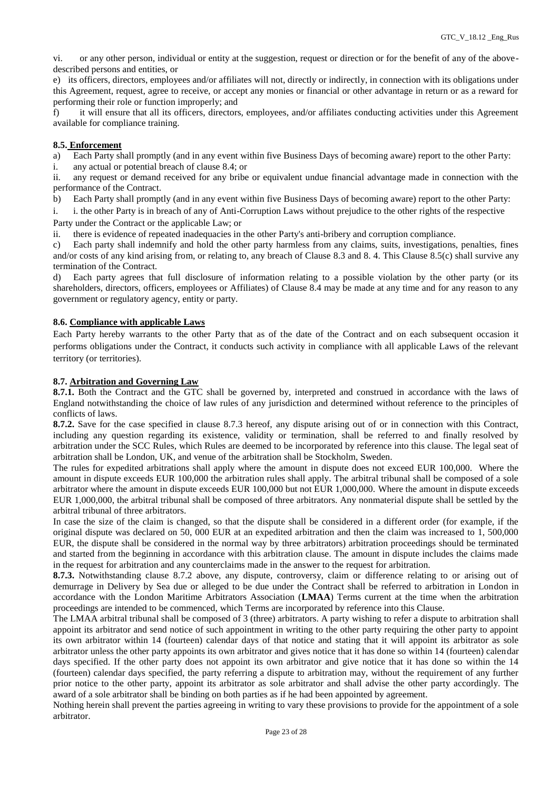vi. or any other person, individual or entity at the suggestion, request or direction or for the benefit of any of the abovedescribed persons and entities, or

e) its officers, directors, employees and/or affiliates will not, directly or indirectly, in connection with its obligations under this Agreement, request, agree to receive, or accept any monies or financial or other advantage in return or as a reward for performing their role or function improperly; and

f) it will ensure that all its officers, directors, employees, and/or affiliates conducting activities under this Agreement available for compliance training.

#### **8.5. Enforcement**

a) Each Party shall promptly (and in any event within five Business Days of becoming aware) report to the other Party:

i. any actual or potential breach of clause 8.4; or

ii. any request or demand received for any bribe or equivalent undue financial advantage made in connection with the performance of the Contract.

b) Each Party shall promptly (and in any event within five Business Days of becoming aware) report to the other Party:

i. i. the other Party is in breach of any of Anti-Corruption Laws without prejudice to the other rights of the respective Party under the Contract or the applicable Law; or

ii. there is evidence of repeated inadequacies in the other Party's anti-bribery and corruption compliance.

c) Each party shall indemnify and hold the other party harmless from any claims, suits, investigations, penalties, fines and/or costs of any kind arising from, or relating to, any breach of Clause 8.3 and 8. 4. This Clause 8.5(c) shall survive any termination of the Contract.

d) Each party agrees that full disclosure of information relating to a possible violation by the other party (or its shareholders, directors, officers, employees or Affiliates) of Clause 8.4 may be made at any time and for any reason to any government or regulatory agency, entity or party.

#### **8.6. Compliance with applicable Laws**

Each Party hereby warrants to the other Party that as of the date of the Contract and on each subsequent occasion it performs obligations under the Contract, it conducts such activity in compliance with all applicable Laws of the relevant territory (or territories).

#### **8.7. Arbitration and Governing Law**

**8.7.1.** Both the Contract and the GTC shall be governed by, interpreted and construed in accordance with the laws of England notwithstanding the choice of law rules of any jurisdiction and determined without reference to the principles of conflicts of laws.

**8.7.2.** Save for the case specified in clause 8.7.3 hereof, any dispute arising out of or in connection with this Contract, including any question regarding its existence, validity or termination, shall be referred to and finally resolved by arbitration under the SCC Rules, which Rules are deemed to be incorporated by reference into this clause. The legal seat of arbitration shall be London, UK, and venue of the arbitration shall be Stockholm, Sweden.

The rules for expedited arbitrations shall apply where the amount in dispute does not exceed EUR 100,000. Where the amount in dispute exceeds EUR 100,000 the arbitration rules shall apply. The arbitral tribunal shall be composed of a sole arbitrator where the amount in dispute exceeds EUR 100,000 but not EUR 1,000,000. Where the amount in dispute exceeds EUR 1,000,000, the arbitral tribunal shall be composed of three arbitrators. Any nonmaterial dispute shall be settled by the arbitral tribunal of three arbitrators.

In case the size of the claim is changed, so that the dispute shall be considered in a different order (for example, if the original dispute was declared on 50, 000 EUR at an expedited arbitration and then the claim was increased to 1, 500,000 EUR, the dispute shall be considered in the normal way by three arbitrators) arbitration proceedings should be terminated and started from the beginning in accordance with this arbitration clause. The amount in dispute includes the claims made in the request for arbitration and any counterclaims made in the answer to the request for arbitration.

**8.7.3.** Notwithstanding clause 8.7.2 above, any dispute, controversy, claim or difference relating to or arising out of demurrage in Delivery by Sea due or alleged to be due under the Contract shall be referred to arbitration in London in accordance with the London Maritime Arbitrators Association (**LMAA**) Terms current at the time when the arbitration proceedings are intended to be commenced, which Terms are incorporated by reference into this Clause.

The LMAA arbitral tribunal shall be composed of 3 (three) arbitrators. A party wishing to refer a dispute to arbitration shall appoint its arbitrator and send notice of such appointment in writing to the other party requiring the other party to appoint its own arbitrator within 14 (fourteen) calendar days of that notice and stating that it will appoint its arbitrator as sole arbitrator unless the other party appoints its own arbitrator and gives notice that it has done so within 14 (fourteen) calendar days specified. If the other party does not appoint its own arbitrator and give notice that it has done so within the 14 (fourteen) calendar days specified, the party referring a dispute to arbitration may, without the requirement of any further prior notice to the other party, appoint its arbitrator as sole arbitrator and shall advise the other party accordingly. The award of a sole arbitrator shall be binding on both parties as if he had been appointed by agreement.

Nothing herein shall prevent the parties agreeing in writing to vary these provisions to provide for the appointment of a sole arbitrator.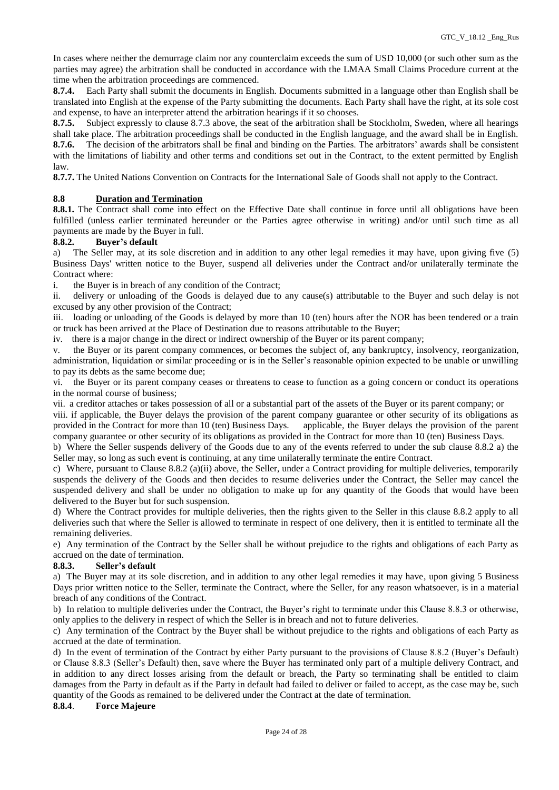In cases where neither the demurrage claim nor any counterclaim exceeds the sum of USD 10,000 (or such other sum as the parties may agree) the arbitration shall be conducted in accordance with the LMAA Small Claims Procedure current at the time when the arbitration proceedings are commenced.

**8.7.4.** Each Party shall submit the documents in English. Documents submitted in a language other than English shall be translated into English at the expense of the Party submitting the documents. Each Party shall have the right, at its sole cost and expense, to have an interpreter attend the arbitration hearings if it so chooses.

**8.7.5.** Subject expressly to clause 8.7.3 above, the seat of the arbitration shall be Stockholm, Sweden, where all hearings shall take place. The arbitration proceedings shall be conducted in the English language, and the award shall be in English. **8.7.6.** The decision of the arbitrators shall be final and binding on the Parties. The arbitrators' awards shall be consistent with the limitations of liability and other terms and conditions set out in the Contract, to the extent permitted by English law.

**8.7.7.** The United Nations Convention on Contracts for the International Sale of Goods shall not apply to the Contract.

# **8.8 Duration and Termination**

**8.8.1.** The Contract shall come into effect on the Effective Date shall continue in force until all obligations have been fulfilled (unless earlier terminated hereunder or the Parties agree otherwise in writing) and/or until such time as all payments are made by the Buyer in full.

## **8.8.2. Buyer's default**

a) The Seller may, at its sole discretion and in addition to any other legal remedies it may have, upon giving five (5) Business Days' written notice to the Buyer, suspend all deliveries under the Contract and/or unilaterally terminate the Contract where:

i. the Buyer is in breach of any condition of the Contract;

ii. delivery or unloading of the Goods is delayed due to any cause(s) attributable to the Buyer and such delay is not excused by any other provision of the Contract;

iii. loading or unloading of the Goods is delayed by more than 10 (ten) hours after the NOR has been tendered or a train or truck has been arrived at the Place of Destination due to reasons attributable to the Buyer;

iv. there is a major change in the direct or indirect ownership of the Buyer or its parent company;

v. the Buyer or its parent company commences, or becomes the subject of, any bankruptcy, insolvency, reorganization, administration, liquidation or similar proceeding or is in the Seller's reasonable opinion expected to be unable or unwilling to pay its debts as the same become due;

vi. the Buyer or its parent company ceases or threatens to cease to function as a going concern or conduct its operations in the normal course of business;

vii. a creditor attaches or takes possession of all or a substantial part of the assets of the Buyer or its parent company; or

viii. if applicable, the Buyer delays the provision of the parent company guarantee or other security of its obligations as provided in the Contract for more than 10 (ten) Business Days. applicable, the Buyer delays the provision of the parent company guarantee or other security of its obligations as provided in the Contract for more than 10 (ten) Business Days.

b) Where the Seller suspends delivery of the Goods due to any of the events referred to under the sub clause 8.8.2 a) the Seller may, so long as such event is continuing, at any time unilaterally terminate the entire Contract.

c) Where, pursuant to Clause 8.8.2 (a)(ii) above, the Seller, under a Contract providing for multiple deliveries, temporarily suspends the delivery of the Goods and then decides to resume deliveries under the Contract, the Seller may cancel the suspended delivery and shall be under no obligation to make up for any quantity of the Goods that would have been delivered to the Buyer but for such suspension.

d) Where the Contract provides for multiple deliveries, then the rights given to the Seller in this clause 8.8.2 apply to all deliveries such that where the Seller is allowed to terminate in respect of one delivery, then it is entitled to terminate all the remaining deliveries.

e) Any termination of the Contract by the Seller shall be without prejudice to the rights and obligations of each Party as accrued on the date of termination.

#### **8.8.3. Seller's default**

a) The Buyer may at its sole discretion, and in addition to any other legal remedies it may have, upon giving 5 Business Days prior written notice to the Seller, terminate the Contract, where the Seller, for any reason whatsoever, is in a material breach of any conditions of the Contract.

b) In relation to multiple deliveries under the Contract, the Buyer's right to terminate under this Clause 8.8.3 or otherwise, only applies to the delivery in respect of which the Seller is in breach and not to future deliveries.

c) Any termination of the Contract by the Buyer shall be without prejudice to the rights and obligations of each Party as accrued at the date of termination.

d) In the event of termination of the Contract by either Party pursuant to the provisions of Clause 8.8.2 (Buyer's Default) or Clause 8.8.3 (Seller's Default) then, save where the Buyer has terminated only part of a multiple delivery Contract, and in addition to any direct losses arising from the default or breach, the Party so terminating shall be entitled to claim damages from the Party in default as if the Party in default had failed to deliver or failed to accept, as the case may be, such quantity of the Goods as remained to be delivered under the Contract at the date of termination.

#### **8.8.4**. **Force Majeure**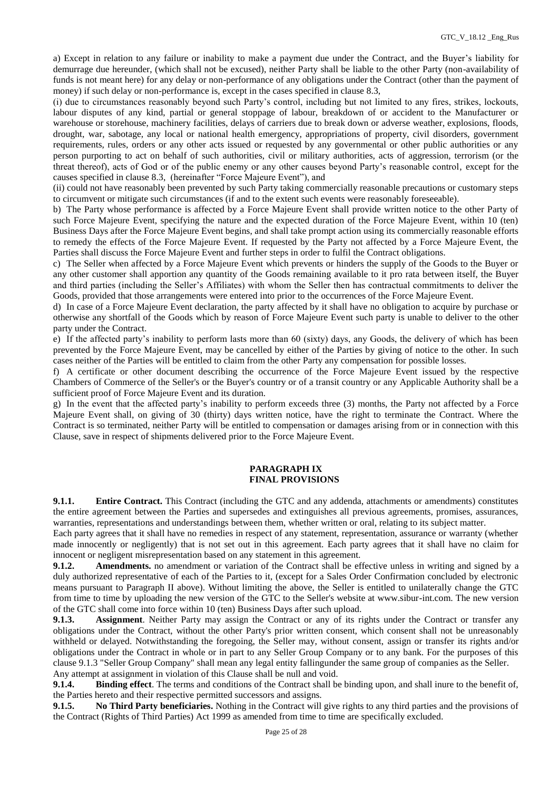a) Except in relation to any failure or inability to make a payment due under the Contract, and the Buyer's liability for demurrage due hereunder, (which shall not be excused), neither Party shall be liable to the other Party (non-availability of funds is not meant here) for any delay or non-performance of any obligations under the Contract (other than the payment of money) if such delay or non-performance is, except in the cases specified in clause 8.3,

(i) due to circumstances reasonably beyond such Party's control, including but not limited to any fires, strikes, lockouts, labour disputes of any kind, partial or general stoppage of labour, breakdown of or accident to the Manufacturer or warehouse or storehouse, machinery facilities, delays of carriers due to break down or adverse weather, explosions, floods, drought, war, sabotage, any local or national health emergency, appropriations of property, civil disorders, government requirements, rules, orders or any other acts issued or requested by any governmental or other public authorities or any person purporting to act on behalf of such authorities, civil or military authorities, acts of aggression, terrorism (or the threat thereof), acts of God or of the public enemy or any other causes beyond Party's reasonable control, except for the causes specified in clause 8.3, (hereinafter "Force Majeure Event"), and

(ii) could not have reasonably been prevented by such Party taking commercially reasonable precautions or customary steps to circumvent or mitigate such circumstances (if and to the extent such events were reasonably foreseeable).

b) The Party whose performance is affected by a Force Majeure Event shall provide written notice to the other Party of such Force Majeure Event, specifying the nature and the expected duration of the Force Majeure Event, within 10 (ten) Business Days after the Force Majeure Event begins, and shall take prompt action using its commercially reasonable efforts to remedy the effects of the Force Majeure Event. If requested by the Party not affected by a Force Majeure Event, the Parties shall discuss the Force Majeure Event and further steps in order to fulfil the Contract obligations.

c) The Seller when affected by a Force Majeure Event which prevents or hinders the supply of the Goods to the Buyer or any other customer shall apportion any quantity of the Goods remaining available to it pro rata between itself, the Buyer and third parties (including the Seller's Affiliates) with whom the Seller then has contractual commitments to deliver the Goods, provided that those arrangements were entered into prior to the occurrences of the Force Majeure Event.

d) In case of a Force Majeure Event declaration, the party affected by it shall have no obligation to acquire by purchase or otherwise any shortfall of the Goods which by reason of Force Majeure Event such party is unable to deliver to the other party under the Contract.

e) If the affected party's inability to perform lasts more than 60 (sixty) days, any Goods, the delivery of which has been prevented by the Force Majeure Event, may be cancelled by either of the Parties by giving of notice to the other. In such cases neither of the Parties will be entitled to claim from the other Party any compensation for possible losses.

f) A certificate or other document describing the occurrence of the Force Majeure Event issued by the respective Chambers of Commerce of the Seller's or the Buyer's country or of a transit country or any Applicable Authority shall be a sufficient proof of Force Majeure Event and its duration.

g) In the event that the affected party's inability to perform exceeds three (3) months, the Party not affected by a Force Majeure Event shall, on giving of 30 (thirty) days written notice, have the right to terminate the Contract. Where the Contract is so terminated, neither Party will be entitled to compensation or damages arising from or in connection with this Clause, save in respect of shipments delivered prior to the Force Majeure Event.

## **PARAGRAPH IX FINAL PROVISIONS**

**9.1.1. Entire Contract.** This Contract (including the GTC and any addenda, attachments or amendments) constitutes the entire agreement between the Parties and supersedes and extinguishes all previous agreements, promises, assurances, warranties, representations and understandings between them, whether written or oral, relating to its subject matter.

Each party agrees that it shall have no remedies in respect of any statement, representation, assurance or warranty (whether made innocently or negligently) that is not set out in this agreement. Each party agrees that it shall have no claim for innocent or negligent misrepresentation based on any statement in this agreement.

**9.1.2. Amendments.** no amendment or variation of the Contract shall be effective unless in writing and signed by a duly authorized representative of each of the Parties to it, (except for a Sales Order Confirmation concluded by electronic means pursuant to Paragraph II above). Without limiting the above, the Seller is entitled to unilaterally change the GTC from time to time by uploading the new version of the GTC to the Seller's website at www.sibur-int.com. The new version of the GTC shall come into force within 10 (ten) Business Days after such upload.

**9.1.3. Assignment**. Neither Party may assign the Contract or any of its rights under the Contract or transfer any obligations under the Contract, without the other Party's prior written consent, which consent shall not be unreasonably withheld or delayed. Notwithstanding the foregoing, the Seller may, without consent, assign or transfer its rights and/or obligations under the Contract in whole or in part to any Seller Group Company or to any bank. For the purposes of this clause 9.1.3 "Seller Group Company" shall mean any legal entity fallingunder the same group of companies as the Seller. Any attempt at assignment in violation of this Clause shall be null and void.

**9.1.4. Binding effect**. The terms and conditions of the Contract shall be binding upon, and shall inure to the benefit of, the Parties hereto and their respective permitted successors and assigns.

**9.1.5. No Third Party beneficiaries.** Nothing in the Contract will give rights to any third parties and the provisions of the Contract (Rights of Third Parties) Act 1999 as amended from time to time are specifically excluded.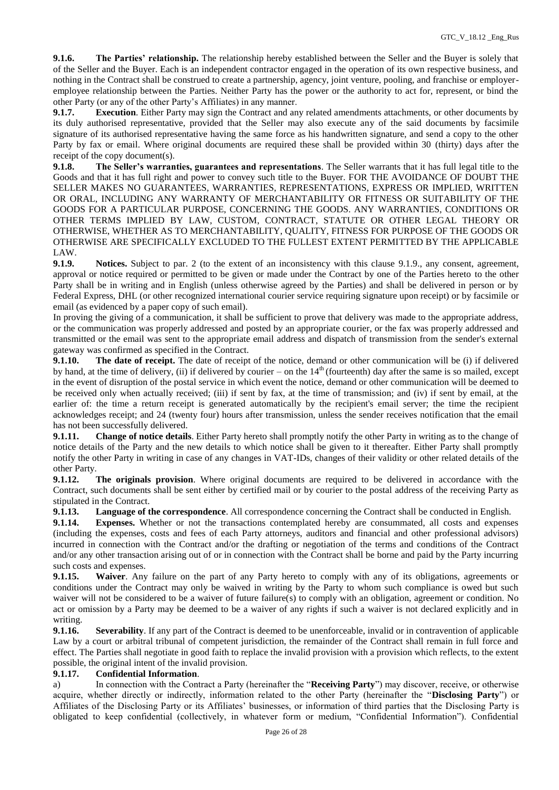**9.1.6. The Parties' relationship.** The relationship hereby established between the Seller and the Buyer is solely that of the Seller and the Buyer. Each is an independent contractor engaged in the operation of its own respective business, and nothing in the Contract shall be construed to create a partnership, agency, joint venture, pooling, and franchise or employeremployee relationship between the Parties. Neither Party has the power or the authority to act for, represent, or bind the other Party (or any of the other Party's Affiliates) in any manner.

**9.1.7. Execution**. Either Party may sign the Contract and any related amendments attachments, or other documents by its duly authorised representative, provided that the Seller may also execute any of the said documents by facsimile signature of its authorised representative having the same force as his handwritten signature, and send a copy to the other Party by fax or email. Where original documents are required these shall be provided within 30 (thirty) days after the receipt of the copy document(s).

**9.1.8. The Seller's warranties, guarantees and representations**. The Seller warrants that it has full legal title to the Goods and that it has full right and power to convey such title to the Buyer. FOR THE AVOIDANCE OF DOUBT THE SELLER MAKES NO GUARANTEES, WARRANTIES, REPRESENTATIONS, EXPRESS OR IMPLIED, WRITTEN OR ORAL, INCLUDING ANY WARRANTY OF MERCHANTABILITY OR FITNESS OR SUITABILITY OF THE GOODS FOR A PARTICULAR PURPOSE, CONCERNING THE GOODS. ANY WARRANTIES, CONDITIONS OR OTHER TERMS IMPLIED BY LAW, CUSTOM, CONTRACT, STATUTE OR OTHER LEGAL THEORY OR OTHERWISE, WHETHER AS TO MERCHANTABILITY, QUALITY, FITNESS FOR PURPOSE OF THE GOODS OR OTHERWISE ARE SPECIFICALLY EXCLUDED TO THE FULLEST EXTENT PERMITTED BY THE APPLICABLE LAW.

**9.1.9. Notices.** Subject to par. 2 (to the extent of an inconsistency with this clause 9.1.9., any consent, agreement, approval or notice required or permitted to be given or made under the Contract by one of the Parties hereto to the other Party shall be in writing and in English (unless otherwise agreed by the Parties) and shall be delivered in person or by Federal Express, DHL (or other recognized international courier service requiring signature upon receipt) or by facsimile or email (as evidenced by a paper copy of such email).

In proving the giving of a communication, it shall be sufficient to prove that delivery was made to the appropriate address, or the communication was properly addressed and posted by an appropriate courier, or the fax was properly addressed and transmitted or the email was sent to the appropriate email address and dispatch of transmission from the sender's external gateway was confirmed as specified in the Contract.

**9.1.10. The date of receipt.** The date of receipt of the notice, demand or other communication will be (i) if delivered by hand, at the time of delivery, (ii) if delivered by courier – on the  $14<sup>th</sup>$  (fourteenth) day after the same is so mailed, except in the event of disruption of the postal service in which event the notice, demand or other communication will be deemed to be received only when actually received; (iii) if sent by fax, at the time of transmission; and (iv) if sent by email, at the earlier of: the time a return receipt is generated automatically by the recipient's email server; the time the recipient acknowledges receipt; and 24 (twenty four) hours after transmission, unless the sender receives notification that the email has not been successfully delivered.

**9.1.11. Change of notice details**. Either Party hereto shall promptly notify the other Party in writing as to the change of notice details of the Party and the new details to which notice shall be given to it thereafter. Either Party shall promptly notify the other Party in writing in case of any changes in VAT-IDs, changes of their validity or other related details of the other Party.

**9.1.12. The originals provision**. Where original documents are required to be delivered in accordance with the Contract, such documents shall be sent either by certified mail or by courier to the postal address of the receiving Party as stipulated in the Contract.

**9.1.13. Language of the correspondence**. All correspondence concerning the Contract shall be conducted in English.

**9.1.14. Expenses.** Whether or not the transactions contemplated hereby are consummated, all costs and expenses (including the expenses, costs and fees of each Party attorneys, auditors and financial and other professional advisors) incurred in connection with the Contract and/or the drafting or negotiation of the terms and conditions of the Contract and/or any other transaction arising out of or in connection with the Contract shall be borne and paid by the Party incurring such costs and expenses.

**9.1.15. Waiver**. Any failure on the part of any Party hereto to comply with any of its obligations, agreements or conditions under the Contract may only be waived in writing by the Party to whom such compliance is owed but such waiver will not be considered to be a waiver of future failure(s) to comply with an obligation, agreement or condition. No act or omission by a Party may be deemed to be a waiver of any rights if such a waiver is not declared explicitly and in writing.

**9.1.16. Severability**. If any part of the Contract is deemed to be unenforceable, invalid or in contravention of applicable Law by a court or arbitral tribunal of competent jurisdiction, the remainder of the Contract shall remain in full force and effect. The Parties shall negotiate in good faith to replace the invalid provision with a provision which reflects, to the extent possible, the original intent of the invalid provision.

# **9.1.17. Confidential Information**.

a) In connection with the Contract a Party (hereinafter the "**Receiving Party**") may discover, receive, or otherwise acquire, whether directly or indirectly, information related to the other Party (hereinafter the "**Disclosing Party**") or Affiliates of the Disclosing Party or its Affiliates' businesses, or information of third parties that the Disclosing Party is obligated to keep confidential (collectively, in whatever form or medium, "Confidential Information"). Confidential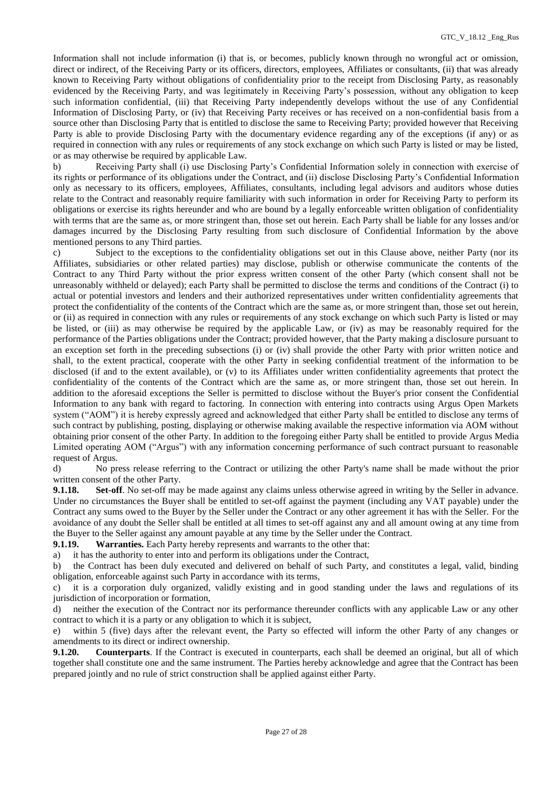Information shall not include information (i) that is, or becomes, publicly known through no wrongful act or omission, direct or indirect, of the Receiving Party or its officers, directors, employees, Affiliates or consultants, (ii) that was already known to Receiving Party without obligations of confidentiality prior to the receipt from Disclosing Party, as reasonably evidenced by the Receiving Party, and was legitimately in Receiving Party's possession, without any obligation to keep such information confidential, (iii) that Receiving Party independently develops without the use of any Confidential Information of Disclosing Party, or (iv) that Receiving Party receives or has received on a non-confidential basis from a source other than Disclosing Party that is entitled to disclose the same to Receiving Party; provided however that Receiving Party is able to provide Disclosing Party with the documentary evidence regarding any of the exceptions (if any) or as required in connection with any rules or requirements of any stock exchange on which such Party is listed or may be listed, or as may otherwise be required by applicable Law.

b) Receiving Party shall (i) use Disclosing Party's Confidential Information solely in connection with exercise of its rights or performance of its obligations under the Contract, and (ii) disclose Disclosing Party's Confidential Information only as necessary to its officers, employees, Affiliates, consultants, including legal advisors and auditors whose duties relate to the Contract and reasonably require familiarity with such information in order for Receiving Party to perform its obligations or exercise its rights hereunder and who are bound by a legally enforceable written obligation of confidentiality with terms that are the same as, or more stringent than, those set out herein. Each Party shall be liable for any losses and/or damages incurred by the Disclosing Party resulting from such disclosure of Confidential Information by the above mentioned persons to any Third parties.

c) Subject to the exceptions to the confidentiality obligations set out in this Clause above, neither Party (nor its Affiliates, subsidiaries or other related parties) may disclose, publish or otherwise communicate the contents of the Contract to any Third Party without the prior express written consent of the other Party (which consent shall not be unreasonably withheld or delayed); each Party shall be permitted to disclose the terms and conditions of the Contract (i) to actual or potential investors and lenders and their authorized representatives under written confidentiality agreements that protect the confidentiality of the contents of the Contract which are the same as, or more stringent than, those set out herein, or (ii) as required in connection with any rules or requirements of any stock exchange on which such Party is listed or may be listed, or (iii) as may otherwise be required by the applicable Law, or (iv) as may be reasonably required for the performance of the Parties obligations under the Contract; provided however, that the Party making a disclosure pursuant to an exception set forth in the preceding subsections (i) or (iv) shall provide the other Party with prior written notice and shall, to the extent practical, cooperate with the other Party in seeking confidential treatment of the information to be disclosed (if and to the extent available), or (v) to its Affiliates under written confidentiality agreements that protect the confidentiality of the contents of the Contract which are the same as, or more stringent than, those set out herein. In addition to the aforesaid exceptions the Seller is permitted to disclose without the Buyer's prior consent the Confidential Information to any bank with regard to factoring. In connection with entering into contracts using Argus Open Markets system ("AOM") it is hereby expressly agreed and acknowledged that either Party shall be entitled to disclose any terms of such contract by publishing, posting, displaying or otherwise making available the respective information via AOM without obtaining prior consent of the other Party. In addition to the foregoing either Party shall be entitled to provide Argus Media Limited operating AOM ("Argus") with any information concerning performance of such contract pursuant to reasonable request of Argus.

d) No press release referring to the Contract or utilizing the other Party's name shall be made without the prior written consent of the other Party.

**9.1.18. Set-off**. No set-off may be made against any claims unless otherwise agreed in writing by the Seller in advance. Under no circumstances the Buyer shall be entitled to set-off against the payment (including any VAT payable) under the Contract any sums owed to the Buyer by the Seller under the Contract or any other agreement it has with the Seller. For the avoidance of any doubt the Seller shall be entitled at all times to set-off against any and all amount owing at any time from the Buyer to the Seller against any amount payable at any time by the Seller under the Contract.

**9.1.19. Warranties.** Each Party hereby represents and warrants to the other that:

a) it has the authority to enter into and perform its obligations under the Contract, b) the Contract has been duly executed and delivered on behalf of such Party, and constitutes a legal, valid, binding

obligation, enforceable against such Party in accordance with its terms,

c) it is a corporation duly organized, validly existing and in good standing under the laws and regulations of its jurisdiction of incorporation or formation,

d) neither the execution of the Contract nor its performance thereunder conflicts with any applicable Law or any other contract to which it is a party or any obligation to which it is subject,

e) within 5 (five) days after the relevant event, the Party so effected will inform the other Party of any changes or amendments to its direct or indirect ownership.

**9.1.20. Counterparts**. If the Contract is executed in counterparts, each shall be deemed an original, but all of which together shall constitute one and the same instrument. The Parties hereby acknowledge and agree that the Contract has been prepared jointly and no rule of strict construction shall be applied against either Party.